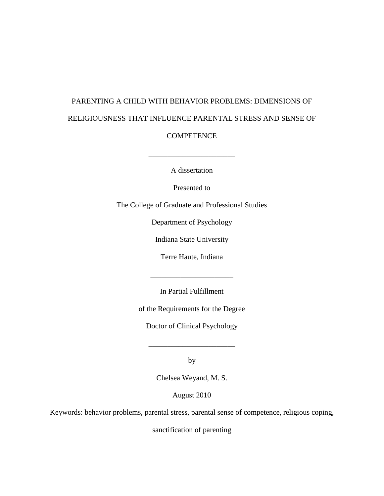# PARENTING A CHILD WITH BEHAVIOR PROBLEMS: DIMENSIONS OF RELIGIOUSNESS THAT INFLUENCE PARENTAL STRESS AND SENSE OF

**COMPETENCE** 

 $\frac{1}{\sqrt{2}}$  ,  $\frac{1}{\sqrt{2}}$  ,  $\frac{1}{\sqrt{2}}$  ,  $\frac{1}{\sqrt{2}}$ 

A dissertation

Presented to

The College of Graduate and Professional Studies

Department of Psychology

Indiana State University

Terre Haute, Indiana

In Partial Fulfillment

\_\_\_\_\_\_\_\_\_\_\_\_\_\_\_\_\_\_\_\_\_\_

of the Requirements for the Degree

Doctor of Clinical Psychology

by

\_\_\_\_\_\_\_\_\_\_\_\_\_\_\_\_\_\_\_\_\_\_\_

Chelsea Weyand, M. S.

<span id="page-0-0"></span>August 2010

Keywords: behavior problems, parental stress, parental sense of competence, religious coping,

sanctification of parenting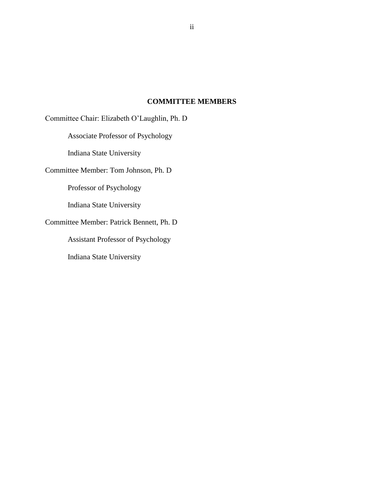### **COMMITTEE MEMBERS**

Committee Chair: Elizabeth O"Laughlin, Ph. D Associate Professor of Psychology Indiana State University Committee Member: Tom Johnson, Ph. D Professor of Psychology Indiana State University Committee Member: Patrick Bennett, Ph. D Assistant Professor of Psychology Indiana State University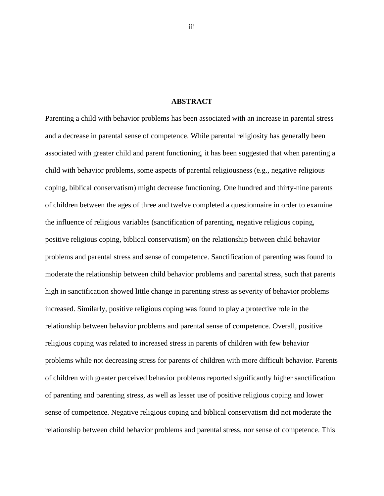#### **ABSTRACT**

Parenting a child with behavior problems has been associated with an increase in parental stress and a decrease in parental sense of competence. While parental religiosity has generally been associated with greater child and parent functioning, it has been suggested that when parenting a child with behavior problems, some aspects of parental religiousness (e.g., negative religious coping, biblical conservatism) might decrease functioning. One hundred and thirty-nine parents of children between the ages of three and twelve completed a questionnaire in order to examine the influence of religious variables (sanctification of parenting, negative religious coping, positive religious coping, biblical conservatism) on the relationship between child behavior problems and parental stress and sense of competence. Sanctification of parenting was found to moderate the relationship between child behavior problems and parental stress, such that parents high in sanctification showed little change in parenting stress as severity of behavior problems increased. Similarly, positive religious coping was found to play a protective role in the relationship between behavior problems and parental sense of competence. Overall, positive religious coping was related to increased stress in parents of children with few behavior problems while not decreasing stress for parents of children with more difficult behavior. Parents of children with greater perceived behavior problems reported significantly higher sanctification of parenting and parenting stress, as well as lesser use of positive religious coping and lower sense of competence. Negative religious coping and biblical conservatism did not moderate the relationship between child behavior problems and parental stress, nor sense of competence. This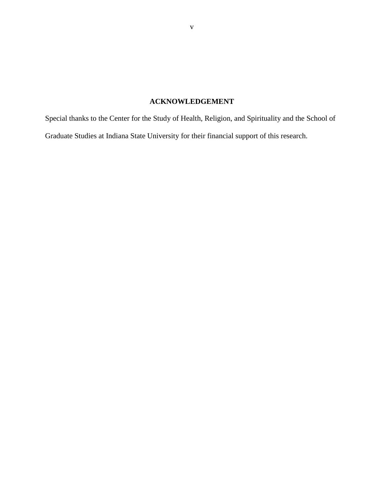## **ACKNOWLEDGEMENT**

Special thanks to the Center for the Study of Health, Religion, and Spirituality and the School of Graduate Studies at Indiana State University for their financial support of this research.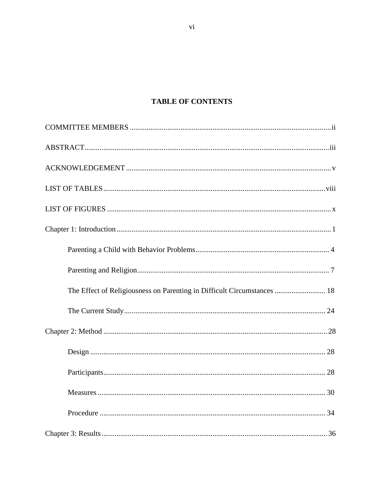## **TABLE OF CONTENTS**

| The Effect of Religiousness on Parenting in Difficult Circumstances  18 |  |
|-------------------------------------------------------------------------|--|
|                                                                         |  |
|                                                                         |  |
|                                                                         |  |
|                                                                         |  |
|                                                                         |  |
|                                                                         |  |
|                                                                         |  |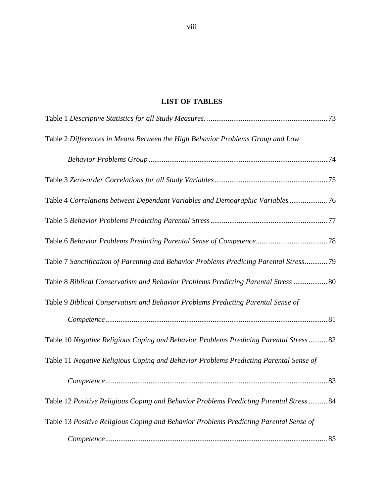## **LIST OF TABLES**

<span id="page-7-0"></span>

| Table 2 Differences in Means Between the High Behavior Problems Group and Low           |  |
|-----------------------------------------------------------------------------------------|--|
|                                                                                         |  |
|                                                                                         |  |
| Table 4 Correlations between Dependant Variables and Demographic Variables76            |  |
|                                                                                         |  |
|                                                                                         |  |
| Table 7 Sanctificaiton of Parenting and Behavior Problems Predicing Parental Stress 79  |  |
| Table 8 Biblical Conservatism and Behavior Problems Predicting Parental Stress  80      |  |
| Table 9 Biblical Conservatism and Behavior Problems Predicting Parental Sense of        |  |
|                                                                                         |  |
| Table 10 Negative Religious Coping and Behavior Problems Predicing Parental Stress 82   |  |
| Table 11 Negative Religious Coping and Behavior Problems Predicting Parental Sense of   |  |
|                                                                                         |  |
| Table 12 Positive Religious Coping and Behavior Problems Predicting Parental Stress  84 |  |
| Table 13 Positive Religious Coping and Behavior Problems Predicting Parental Sense of   |  |
| $Complete nce. 85$                                                                      |  |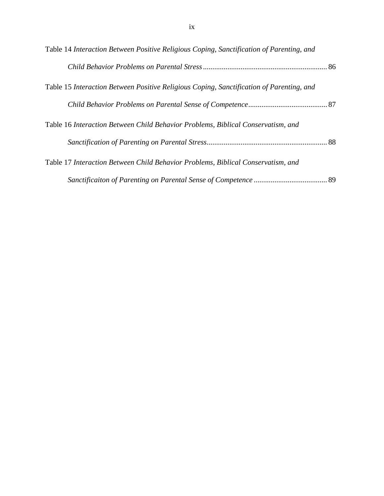| Table 14 Interaction Between Positive Religious Coping, Sanctification of Parenting, and |  |
|------------------------------------------------------------------------------------------|--|
|                                                                                          |  |
| Table 15 Interaction Between Positive Religious Coping, Sanctification of Parenting, and |  |
|                                                                                          |  |
| Table 16 Interaction Between Child Behavior Problems, Biblical Conservatism, and         |  |
|                                                                                          |  |
| Table 17 Interaction Between Child Behavior Problems, Biblical Conservatism, and         |  |
|                                                                                          |  |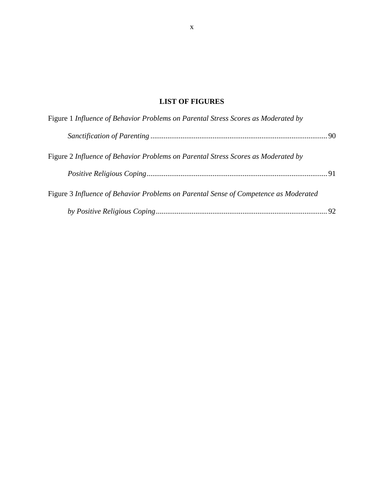## **LIST OF FIGURES**

| Figure 1 Influence of Behavior Problems on Parental Stress Scores as Moderated by    |  |
|--------------------------------------------------------------------------------------|--|
|                                                                                      |  |
| Figure 2 Influence of Behavior Problems on Parental Stress Scores as Moderated by    |  |
|                                                                                      |  |
| Figure 3 Influence of Behavior Problems on Parental Sense of Competence as Moderated |  |
|                                                                                      |  |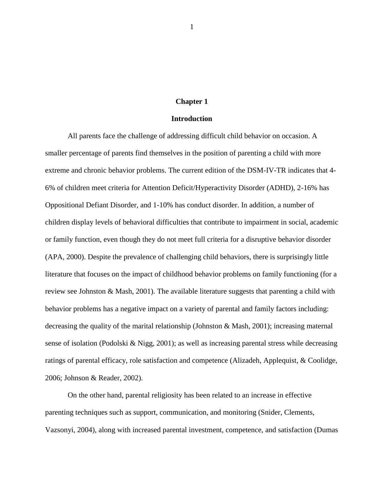#### **Chapter 1**

#### **Introduction**

All parents face the challenge of addressing difficult child behavior on occasion. A smaller percentage of parents find themselves in the position of parenting a child with more extreme and chronic behavior problems. The current edition of the DSM-IV-TR indicates that 4- 6% of children meet criteria for Attention Deficit/Hyperactivity Disorder (ADHD), 2-16% has Oppositional Defiant Disorder, and 1-10% has conduct disorder. In addition, a number of children display levels of behavioral difficulties that contribute to impairment in social, academic or family function, even though they do not meet full criteria for a disruptive behavior disorder (APA, 2000). Despite the prevalence of challenging child behaviors, there is surprisingly little literature that focuses on the impact of childhood behavior problems on family functioning (for a review see Johnston & Mash, 2001). The available literature suggests that parenting a child with behavior problems has a negative impact on a variety of parental and family factors including: decreasing the quality of the marital relationship (Johnston & Mash, 2001); increasing maternal sense of isolation (Podolski & Nigg, 2001); as well as increasing parental stress while decreasing ratings of parental efficacy, role satisfaction and competence (Alizadeh, Applequist, & Coolidge, 2006; Johnson & Reader, 2002).

On the other hand, parental religiosity has been related to an increase in effective parenting techniques such as support, communication, and monitoring (Snider, Clements, Vazsonyi, 2004), along with increased parental investment, competence, and satisfaction (Dumas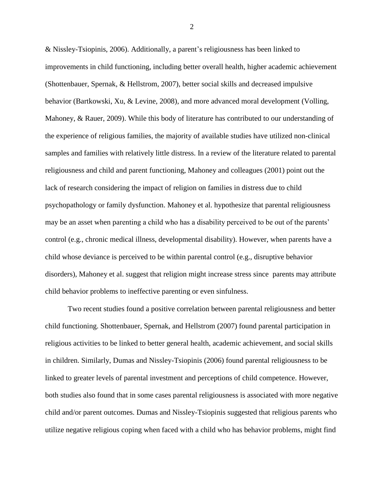& Nissley-Tsiopinis, 2006). Additionally, a parent"s religiousness has been linked to improvements in child functioning, including better overall health, higher academic achievement (Shottenbauer, Spernak, & Hellstrom, 2007), better social skills and decreased impulsive behavior (Bartkowski, Xu, & Levine, 2008), and more advanced moral development (Volling, Mahoney, & Rauer, 2009). While this body of literature has contributed to our understanding of the experience of religious families, the majority of available studies have utilized non-clinical samples and families with relatively little distress. In a review of the literature related to parental religiousness and child and parent functioning, Mahoney and colleagues (2001) point out the lack of research considering the impact of religion on families in distress due to child psychopathology or family dysfunction. Mahoney et al. hypothesize that parental religiousness may be an asset when parenting a child who has a disability perceived to be out of the parents' control (e.g., chronic medical illness, developmental disability). However, when parents have a child whose deviance is perceived to be within parental control (e.g., disruptive behavior disorders), Mahoney et al. suggest that religion might increase stress since parents may attribute child behavior problems to ineffective parenting or even sinfulness.

Two recent studies found a positive correlation between parental religiousness and better child functioning. Shottenbauer, Spernak, and Hellstrom (2007) found parental participation in religious activities to be linked to better general health, academic achievement, and social skills in children. Similarly, Dumas and Nissley-Tsiopinis (2006) found parental religiousness to be linked to greater levels of parental investment and perceptions of child competence. However, both studies also found that in some cases parental religiousness is associated with more negative child and/or parent outcomes. Dumas and Nissley-Tsiopinis suggested that religious parents who utilize negative religious coping when faced with a child who has behavior problems, might find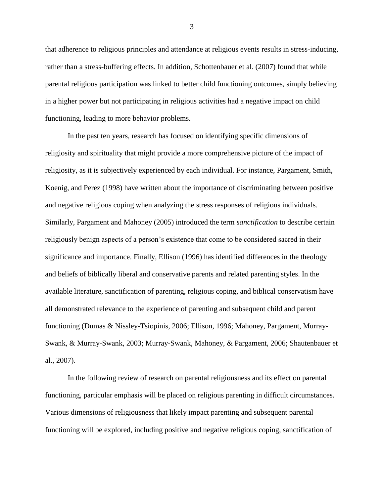that adherence to religious principles and attendance at religious events results in stress-inducing, rather than a stress-buffering effects. In addition, Schottenbauer et al. (2007) found that while parental religious participation was linked to better child functioning outcomes, simply believing in a higher power but not participating in religious activities had a negative impact on child functioning, leading to more behavior problems.

In the past ten years, research has focused on identifying specific dimensions of religiosity and spirituality that might provide a more comprehensive picture of the impact of religiosity, as it is subjectively experienced by each individual. For instance, Pargament, Smith, Koenig, and Perez (1998) have written about the importance of discriminating between positive and negative religious coping when analyzing the stress responses of religious individuals. Similarly, Pargament and Mahoney (2005) introduced the term *sanctification* to describe certain religiously benign aspects of a person"s existence that come to be considered sacred in their significance and importance. Finally, Ellison (1996) has identified differences in the theology and beliefs of biblically liberal and conservative parents and related parenting styles. In the available literature, sanctification of parenting, religious coping, and biblical conservatism have all demonstrated relevance to the experience of parenting and subsequent child and parent functioning (Dumas & Nissley-Tsiopinis, 2006; Ellison, 1996; Mahoney, Pargament, Murray-Swank, & Murray-Swank, 2003; Murray-Swank, Mahoney, & Pargament, 2006; Shautenbauer et al., 2007).

In the following review of research on parental religiousness and its effect on parental functioning, particular emphasis will be placed on religious parenting in difficult circumstances. Various dimensions of religiousness that likely impact parenting and subsequent parental functioning will be explored, including positive and negative religious coping, sanctification of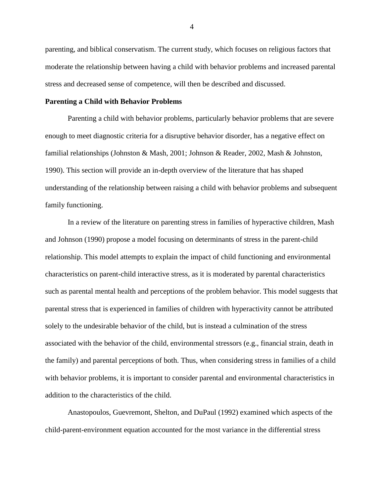parenting, and biblical conservatism. The current study, which focuses on religious factors that moderate the relationship between having a child with behavior problems and increased parental stress and decreased sense of competence, will then be described and discussed.

#### **Parenting a Child with Behavior Problems**

Parenting a child with behavior problems, particularly behavior problems that are severe enough to meet diagnostic criteria for a disruptive behavior disorder, has a negative effect on familial relationships (Johnston & Mash, 2001; Johnson & Reader, 2002, Mash & Johnston, 1990). This section will provide an in-depth overview of the literature that has shaped understanding of the relationship between raising a child with behavior problems and subsequent family functioning.

In a review of the literature on parenting stress in families of hyperactive children, Mash and Johnson (1990) propose a model focusing on determinants of stress in the parent-child relationship. This model attempts to explain the impact of child functioning and environmental characteristics on parent-child interactive stress, as it is moderated by parental characteristics such as parental mental health and perceptions of the problem behavior. This model suggests that parental stress that is experienced in families of children with hyperactivity cannot be attributed solely to the undesirable behavior of the child, but is instead a culmination of the stress associated with the behavior of the child, environmental stressors (e.g., financial strain, death in the family) and parental perceptions of both. Thus, when considering stress in families of a child with behavior problems, it is important to consider parental and environmental characteristics in addition to the characteristics of the child.

Anastopoulos, Guevremont, Shelton, and DuPaul (1992) examined which aspects of the child-parent-environment equation accounted for the most variance in the differential stress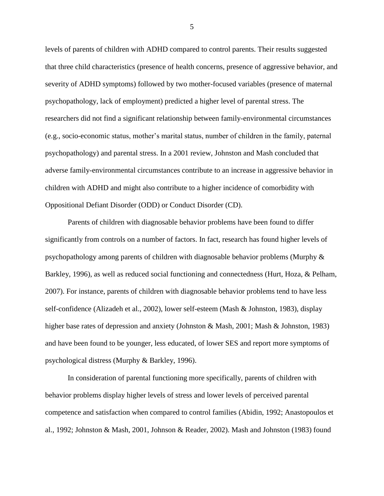levels of parents of children with ADHD compared to control parents. Their results suggested that three child characteristics (presence of health concerns, presence of aggressive behavior, and severity of ADHD symptoms) followed by two mother-focused variables (presence of maternal psychopathology, lack of employment) predicted a higher level of parental stress. The researchers did not find a significant relationship between family-environmental circumstances (e.g., socio-economic status, mother"s marital status, number of children in the family, paternal psychopathology) and parental stress. In a 2001 review, Johnston and Mash concluded that adverse family-environmental circumstances contribute to an increase in aggressive behavior in children with ADHD and might also contribute to a higher incidence of comorbidity with Oppositional Defiant Disorder (ODD) or Conduct Disorder (CD).

Parents of children with diagnosable behavior problems have been found to differ significantly from controls on a number of factors. In fact, research has found higher levels of psychopathology among parents of children with diagnosable behavior problems (Murphy & Barkley, 1996), as well as reduced social functioning and connectedness (Hurt, Hoza, & Pelham, 2007). For instance, parents of children with diagnosable behavior problems tend to have less self-confidence (Alizadeh et al., 2002), lower self-esteem (Mash & Johnston, 1983), display higher base rates of depression and anxiety (Johnston & Mash, 2001; Mash & Johnston, 1983) and have been found to be younger, less educated, of lower SES and report more symptoms of psychological distress (Murphy & Barkley, 1996).

In consideration of parental functioning more specifically, parents of children with behavior problems display higher levels of stress and lower levels of perceived parental competence and satisfaction when compared to control families (Abidin, 1992; Anastopoulos et al., 1992; Johnston & Mash, 2001, Johnson & Reader, 2002). Mash and Johnston (1983) found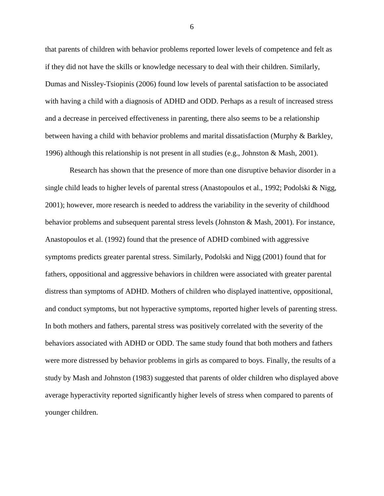that parents of children with behavior problems reported lower levels of competence and felt as if they did not have the skills or knowledge necessary to deal with their children. Similarly, Dumas and Nissley-Tsiopinis (2006) found low levels of parental satisfaction to be associated with having a child with a diagnosis of ADHD and ODD. Perhaps as a result of increased stress and a decrease in perceived effectiveness in parenting, there also seems to be a relationship between having a child with behavior problems and marital dissatisfaction (Murphy & Barkley, 1996) although this relationship is not present in all studies (e.g., Johnston & Mash, 2001).

Research has shown that the presence of more than one disruptive behavior disorder in a single child leads to higher levels of parental stress (Anastopoulos et al., 1992; Podolski & Nigg, 2001); however, more research is needed to address the variability in the severity of childhood behavior problems and subsequent parental stress levels (Johnston & Mash, 2001). For instance, Anastopoulos et al. (1992) found that the presence of ADHD combined with aggressive symptoms predicts greater parental stress. Similarly, Podolski and Nigg (2001) found that for fathers, oppositional and aggressive behaviors in children were associated with greater parental distress than symptoms of ADHD. Mothers of children who displayed inattentive, oppositional, and conduct symptoms, but not hyperactive symptoms, reported higher levels of parenting stress. In both mothers and fathers, parental stress was positively correlated with the severity of the behaviors associated with ADHD or ODD. The same study found that both mothers and fathers were more distressed by behavior problems in girls as compared to boys. Finally, the results of a study by Mash and Johnston (1983) suggested that parents of older children who displayed above average hyperactivity reported significantly higher levels of stress when compared to parents of younger children.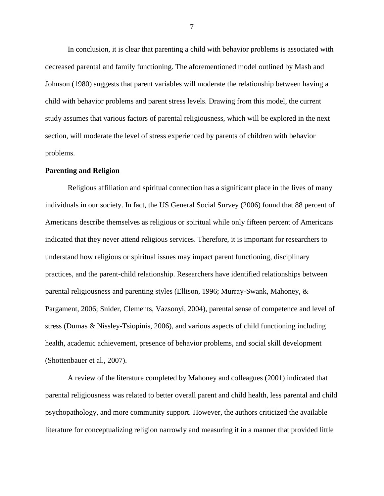In conclusion, it is clear that parenting a child with behavior problems is associated with decreased parental and family functioning. The aforementioned model outlined by Mash and Johnson (1980) suggests that parent variables will moderate the relationship between having a child with behavior problems and parent stress levels. Drawing from this model, the current study assumes that various factors of parental religiousness, which will be explored in the next section, will moderate the level of stress experienced by parents of children with behavior problems.

#### **Parenting and Religion**

Religious affiliation and spiritual connection has a significant place in the lives of many individuals in our society. In fact, the US General Social Survey (2006) found that 88 percent of Americans describe themselves as religious or spiritual while only fifteen percent of Americans indicated that they never attend religious services. Therefore, it is important for researchers to understand how religious or spiritual issues may impact parent functioning, disciplinary practices, and the parent-child relationship. Researchers have identified relationships between parental religiousness and parenting styles (Ellison, 1996; Murray-Swank, Mahoney, & Pargament, 2006; Snider, Clements, Vazsonyi, 2004), parental sense of competence and level of stress (Dumas & Nissley-Tsiopinis, 2006), and various aspects of child functioning including health, academic achievement, presence of behavior problems, and social skill development (Shottenbauer et al., 2007).

A review of the literature completed by Mahoney and colleagues (2001) indicated that parental religiousness was related to better overall parent and child health, less parental and child psychopathology, and more community support. However, the authors criticized the available literature for conceptualizing religion narrowly and measuring it in a manner that provided little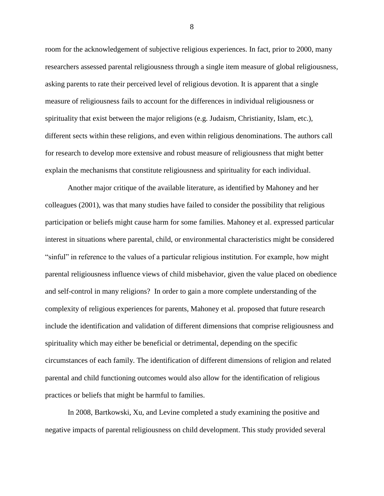room for the acknowledgement of subjective religious experiences. In fact, prior to 2000, many researchers assessed parental religiousness through a single item measure of global religiousness, asking parents to rate their perceived level of religious devotion. It is apparent that a single measure of religiousness fails to account for the differences in individual religiousness or spirituality that exist between the major religions (e.g. Judaism, Christianity, Islam, etc.), different sects within these religions, and even within religious denominations. The authors call for research to develop more extensive and robust measure of religiousness that might better explain the mechanisms that constitute religiousness and spirituality for each individual.

Another major critique of the available literature, as identified by Mahoney and her colleagues (2001), was that many studies have failed to consider the possibility that religious participation or beliefs might cause harm for some families. Mahoney et al. expressed particular interest in situations where parental, child, or environmental characteristics might be considered "sinful" in reference to the values of a particular religious institution. For example, how might parental religiousness influence views of child misbehavior, given the value placed on obedience and self-control in many religions? In order to gain a more complete understanding of the complexity of religious experiences for parents, Mahoney et al. proposed that future research include the identification and validation of different dimensions that comprise religiousness and spirituality which may either be beneficial or detrimental, depending on the specific circumstances of each family. The identification of different dimensions of religion and related parental and child functioning outcomes would also allow for the identification of religious practices or beliefs that might be harmful to families.

In 2008, Bartkowski, Xu, and Levine completed a study examining the positive and negative impacts of parental religiousness on child development. This study provided several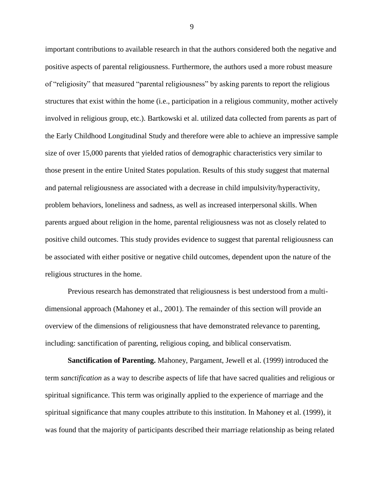important contributions to available research in that the authors considered both the negative and positive aspects of parental religiousness. Furthermore, the authors used a more robust measure of "religiosity" that measured "parental religiousness" by asking parents to report the religious structures that exist within the home (i.e., participation in a religious community, mother actively involved in religious group, etc.). Bartkowski et al. utilized data collected from parents as part of the Early Childhood Longitudinal Study and therefore were able to achieve an impressive sample size of over 15,000 parents that yielded ratios of demographic characteristics very similar to those present in the entire United States population. Results of this study suggest that maternal and paternal religiousness are associated with a decrease in child impulsivity/hyperactivity, problem behaviors, loneliness and sadness, as well as increased interpersonal skills. When parents argued about religion in the home, parental religiousness was not as closely related to positive child outcomes. This study provides evidence to suggest that parental religiousness can be associated with either positive or negative child outcomes, dependent upon the nature of the religious structures in the home.

Previous research has demonstrated that religiousness is best understood from a multidimensional approach (Mahoney et al., 2001). The remainder of this section will provide an overview of the dimensions of religiousness that have demonstrated relevance to parenting, including: sanctification of parenting, religious coping, and biblical conservatism.

**Sanctification of Parenting.** Mahoney, Pargament, Jewell et al. (1999) introduced the term *sanctification* as a way to describe aspects of life that have sacred qualities and religious or spiritual significance. This term was originally applied to the experience of marriage and the spiritual significance that many couples attribute to this institution. In Mahoney et al. (1999), it was found that the majority of participants described their marriage relationship as being related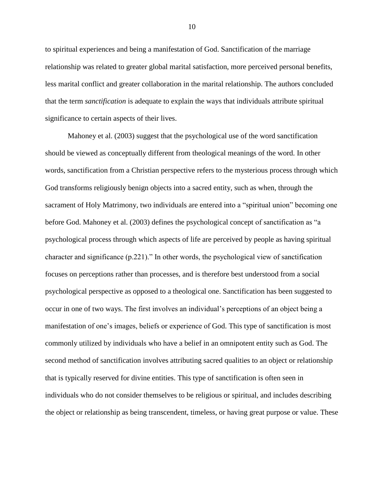to spiritual experiences and being a manifestation of God. Sanctification of the marriage relationship was related to greater global marital satisfaction, more perceived personal benefits, less marital conflict and greater collaboration in the marital relationship. The authors concluded that the term *sanctification* is adequate to explain the ways that individuals attribute spiritual significance to certain aspects of their lives.

Mahoney et al. (2003) suggest that the psychological use of the word sanctification should be viewed as conceptually different from theological meanings of the word. In other words, sanctification from a Christian perspective refers to the mysterious process through which God transforms religiously benign objects into a sacred entity, such as when, through the sacrament of Holy Matrimony, two individuals are entered into a "spiritual union" becoming one before God. Mahoney et al. (2003) defines the psychological concept of sanctification as "a psychological process through which aspects of life are perceived by people as having spiritual character and significance (p.221)." In other words, the psychological view of sanctification focuses on perceptions rather than processes, and is therefore best understood from a social psychological perspective as opposed to a theological one. Sanctification has been suggested to occur in one of two ways. The first involves an individual"s perceptions of an object being a manifestation of one"s images, beliefs or experience of God. This type of sanctification is most commonly utilized by individuals who have a belief in an omnipotent entity such as God. The second method of sanctification involves attributing sacred qualities to an object or relationship that is typically reserved for divine entities. This type of sanctification is often seen in individuals who do not consider themselves to be religious or spiritual, and includes describing the object or relationship as being transcendent, timeless, or having great purpose or value. These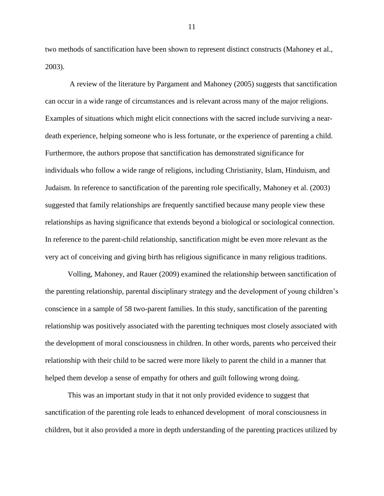two methods of sanctification have been shown to represent distinct constructs (Mahoney et al., 2003).

A review of the literature by Pargament and Mahoney (2005) suggests that sanctification can occur in a wide range of circumstances and is relevant across many of the major religions. Examples of situations which might elicit connections with the sacred include surviving a neardeath experience, helping someone who is less fortunate, or the experience of parenting a child. Furthermore, the authors propose that sanctification has demonstrated significance for individuals who follow a wide range of religions, including Christianity, Islam, Hinduism, and Judaism. In reference to sanctification of the parenting role specifically, Mahoney et al. (2003) suggested that family relationships are frequently sanctified because many people view these relationships as having significance that extends beyond a biological or sociological connection. In reference to the parent-child relationship, sanctification might be even more relevant as the very act of conceiving and giving birth has religious significance in many religious traditions.

Volling, Mahoney, and Rauer (2009) examined the relationship between sanctification of the parenting relationship, parental disciplinary strategy and the development of young children"s conscience in a sample of 58 two-parent families. In this study, sanctification of the parenting relationship was positively associated with the parenting techniques most closely associated with the development of moral consciousness in children. In other words, parents who perceived their relationship with their child to be sacred were more likely to parent the child in a manner that helped them develop a sense of empathy for others and guilt following wrong doing.

This was an important study in that it not only provided evidence to suggest that sanctification of the parenting role leads to enhanced development of moral consciousness in children, but it also provided a more in depth understanding of the parenting practices utilized by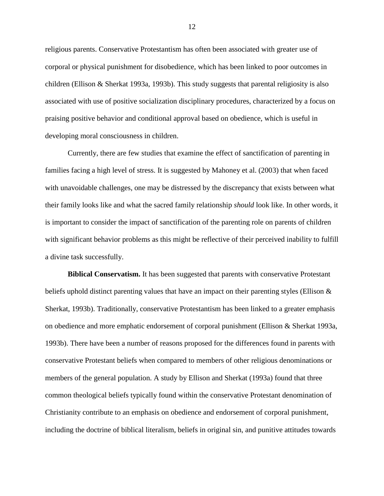religious parents. Conservative Protestantism has often been associated with greater use of corporal or physical punishment for disobedience, which has been linked to poor outcomes in children (Ellison & Sherkat 1993a, 1993b). This study suggests that parental religiosity is also associated with use of positive socialization disciplinary procedures, characterized by a focus on praising positive behavior and conditional approval based on obedience, which is useful in developing moral consciousness in children.

Currently, there are few studies that examine the effect of sanctification of parenting in families facing a high level of stress. It is suggested by Mahoney et al. (2003) that when faced with unavoidable challenges, one may be distressed by the discrepancy that exists between what their family looks like and what the sacred family relationship *should* look like. In other words, it is important to consider the impact of sanctification of the parenting role on parents of children with significant behavior problems as this might be reflective of their perceived inability to fulfill a divine task successfully.

**Biblical Conservatism.** It has been suggested that parents with conservative Protestant beliefs uphold distinct parenting values that have an impact on their parenting styles (Ellison & Sherkat, 1993b). Traditionally, conservative Protestantism has been linked to a greater emphasis on obedience and more emphatic endorsement of corporal punishment (Ellison & Sherkat 1993a, 1993b). There have been a number of reasons proposed for the differences found in parents with conservative Protestant beliefs when compared to members of other religious denominations or members of the general population. A study by Ellison and Sherkat (1993a) found that three common theological beliefs typically found within the conservative Protestant denomination of Christianity contribute to an emphasis on obedience and endorsement of corporal punishment, including the doctrine of biblical literalism, beliefs in original sin, and punitive attitudes towards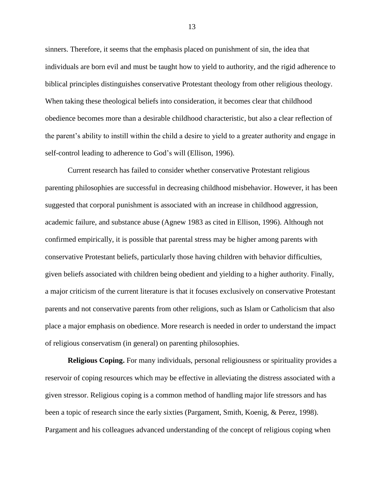sinners. Therefore, it seems that the emphasis placed on punishment of sin, the idea that individuals are born evil and must be taught how to yield to authority, and the rigid adherence to biblical principles distinguishes conservative Protestant theology from other religious theology. When taking these theological beliefs into consideration, it becomes clear that childhood obedience becomes more than a desirable childhood characteristic, but also a clear reflection of the parent"s ability to instill within the child a desire to yield to a greater authority and engage in self-control leading to adherence to God's will (Ellison, 1996).

Current research has failed to consider whether conservative Protestant religious parenting philosophies are successful in decreasing childhood misbehavior. However, it has been suggested that corporal punishment is associated with an increase in childhood aggression, academic failure, and substance abuse (Agnew 1983 as cited in Ellison, 1996). Although not confirmed empirically, it is possible that parental stress may be higher among parents with conservative Protestant beliefs, particularly those having children with behavior difficulties, given beliefs associated with children being obedient and yielding to a higher authority. Finally, a major criticism of the current literature is that it focuses exclusively on conservative Protestant parents and not conservative parents from other religions, such as Islam or Catholicism that also place a major emphasis on obedience. More research is needed in order to understand the impact of religious conservatism (in general) on parenting philosophies.

**Religious Coping.** For many individuals, personal religiousness or spirituality provides a reservoir of coping resources which may be effective in alleviating the distress associated with a given stressor. Religious coping is a common method of handling major life stressors and has been a topic of research since the early sixties (Pargament, Smith, Koenig, & Perez, 1998). Pargament and his colleagues advanced understanding of the concept of religious coping when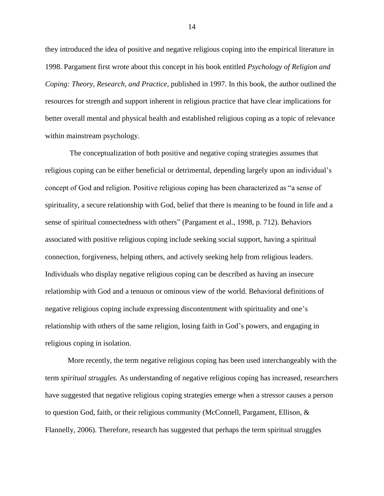they introduced the idea of positive and negative religious coping into the empirical literature in 1998. Pargament first wrote about this concept in his book entitled *Psychology of Religion and Coping: Theory, Research, and Practice,* published in 1997*.* In this book, the author outlined the resources for strength and support inherent in religious practice that have clear implications for better overall mental and physical health and established religious coping as a topic of relevance within mainstream psychology.

The conceptualization of both positive and negative coping strategies assumes that religious coping can be either beneficial or detrimental, depending largely upon an individual"s concept of God and religion. Positive religious coping has been characterized as "a sense of spirituality, a secure relationship with God, belief that there is meaning to be found in life and a sense of spiritual connectedness with others" (Pargament et al., 1998, p. 712). Behaviors associated with positive religious coping include seeking social support, having a spiritual connection, forgiveness, helping others, and actively seeking help from religious leaders. Individuals who display negative religious coping can be described as having an insecure relationship with God and a tenuous or ominous view of the world. Behavioral definitions of negative religious coping include expressing discontentment with spirituality and one"s relationship with others of the same religion, losing faith in God"s powers, and engaging in religious coping in isolation.

More recently, the term negative religious coping has been used interchangeably with the term *spiritual struggles.* As understanding of negative religious coping has increased, researchers have suggested that negative religious coping strategies emerge when a stressor causes a person to question God, faith, or their religious community (McConnell, Pargament, Ellison,  $\&$ Flannelly, 2006). Therefore, research has suggested that perhaps the term spiritual struggles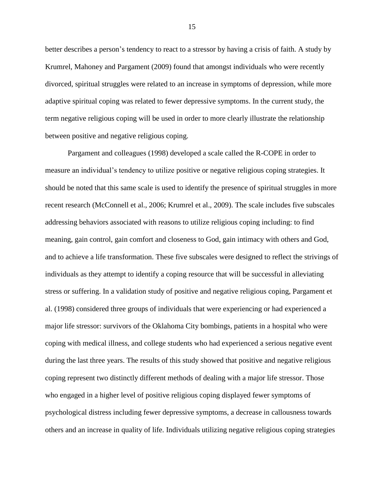better describes a person"s tendency to react to a stressor by having a crisis of faith. A study by Krumrel, Mahoney and Pargament (2009) found that amongst individuals who were recently divorced, spiritual struggles were related to an increase in symptoms of depression, while more adaptive spiritual coping was related to fewer depressive symptoms. In the current study, the term negative religious coping will be used in order to more clearly illustrate the relationship between positive and negative religious coping.

Pargament and colleagues (1998) developed a scale called the R-COPE in order to measure an individual"s tendency to utilize positive or negative religious coping strategies. It should be noted that this same scale is used to identify the presence of spiritual struggles in more recent research (McConnell et al., 2006; Krumrel et al., 2009). The scale includes five subscales addressing behaviors associated with reasons to utilize religious coping including: to find meaning, gain control, gain comfort and closeness to God, gain intimacy with others and God, and to achieve a life transformation. These five subscales were designed to reflect the strivings of individuals as they attempt to identify a coping resource that will be successful in alleviating stress or suffering. In a validation study of positive and negative religious coping, Pargament et al. (1998) considered three groups of individuals that were experiencing or had experienced a major life stressor: survivors of the Oklahoma City bombings, patients in a hospital who were coping with medical illness, and college students who had experienced a serious negative event during the last three years. The results of this study showed that positive and negative religious coping represent two distinctly different methods of dealing with a major life stressor. Those who engaged in a higher level of positive religious coping displayed fewer symptoms of psychological distress including fewer depressive symptoms, a decrease in callousness towards others and an increase in quality of life. Individuals utilizing negative religious coping strategies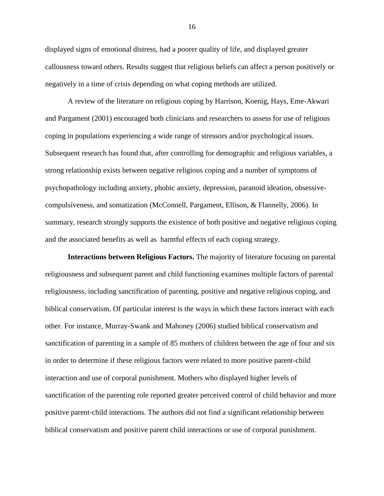displayed signs of emotional distress, had a poorer quality of life, and displayed greater callousness toward others. Results suggest that religious beliefs can affect a person positively or negatively in a time of crisis depending on what coping methods are utilized.

A review of the literature on religious coping by Harrison, Koenig, Hays, Eme-Akwari and Pargament (2001) encouraged both clinicians and researchers to assess for use of religious coping in populations experiencing a wide range of stressors and/or psychological issues. Subsequent research has found that, after controlling for demographic and religious variables, a strong relationship exists between negative religious coping and a number of symptoms of psychopathology including anxiety, phobic anxiety, depression, paranoid ideation, obsessivecompulsiveness, and somatization (McConnell, Pargament, Ellison, & Flannelly, 2006). In summary, research strongly supports the existence of both positive and negative religious coping and the associated benefits as well as harmful effects of each coping strategy.

**Interactions between Religious Factors.** The majority of literature focusing on parental religiousness and subsequent parent and child functioning examines multiple factors of parental religiousness, including sanctification of parenting, positive and negative religious coping, and biblical conservatism. Of particular interest is the ways in which these factors interact with each other. For instance, Murray-Swank and Mahoney (2006) studied biblical conservatism and sanctification of parenting in a sample of 85 mothers of children between the age of four and six in order to determine if these religious factors were related to more positive parent-child interaction and use of corporal punishment. Mothers who displayed higher levels of sanctification of the parenting role reported greater perceived control of child behavior and more positive parent-child interactions. The authors did not find a significant relationship between biblical conservatism and positive parent child interactions or use of corporal punishment.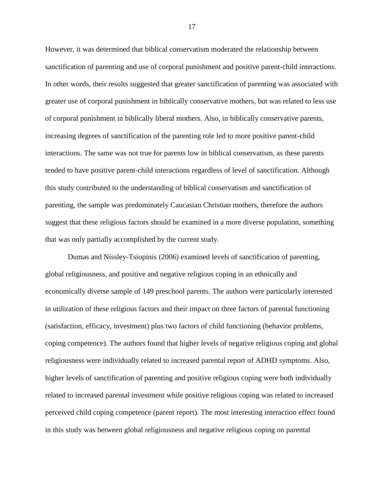However, it was determined that biblical conservatism moderated the relationship between sanctification of parenting and use of corporal punishment and positive parent-child interactions. In other words, their results suggested that greater sanctification of parenting was associated with greater use of corporal punishment in biblically conservative mothers, but was related to less use of corporal punishment in biblically liberal mothers. Also, in biblically conservative parents, increasing degrees of sanctification of the parenting role led to more positive parent-child interactions. The same was not true for parents low in biblical conservatism, as these parents tended to have positive parent-child interactions regardless of level of sanctification. Although this study contributed to the understanding of biblical conservatism and sanctification of parenting, the sample was predominately Caucasian Christian mothers, therefore the authors suggest that these religious factors should be examined in a more diverse population, something that was only partially accomplished by the current study.

Dumas and Nissley-Tsiopinis (2006) examined levels of sanctification of parenting, global religiousness, and positive and negative religious coping in an ethnically and economically diverse sample of 149 preschool parents. The authors were particularly interested in utilization of these religious factors and their impact on three factors of parental functioning (satisfaction, efficacy, investment) plus two factors of child functioning (behavior problems, coping competence). The authors found that higher levels of negative religious coping and global religiousness were individually related to increased parental report of ADHD symptoms. Also, higher levels of sanctification of parenting and positive religious coping were both individually related to increased parental investment while positive religious coping was related to increased perceived child coping competence (parent report). The most interesting interaction effect found in this study was between global religiousness and negative religious coping on parental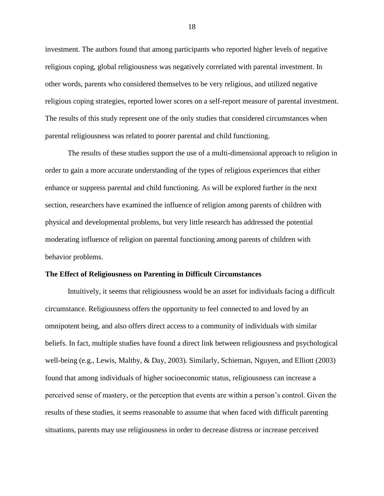investment. The authors found that among participants who reported higher levels of negative religious coping, global religiousness was negatively correlated with parental investment. In other words, parents who considered themselves to be very religious, and utilized negative religious coping strategies, reported lower scores on a self-report measure of parental investment. The results of this study represent one of the only studies that considered circumstances when parental religiousness was related to poorer parental and child functioning.

The results of these studies support the use of a multi-dimensional approach to religion in order to gain a more accurate understanding of the types of religious experiences that either enhance or suppress parental and child functioning. As will be explored further in the next section, researchers have examined the influence of religion among parents of children with physical and developmental problems, but very little research has addressed the potential moderating influence of religion on parental functioning among parents of children with behavior problems.

#### **The Effect of Religiousness on Parenting in Difficult Circumstances**

Intuitively, it seems that religiousness would be an asset for individuals facing a difficult circumstance. Religiousness offers the opportunity to feel connected to and loved by an omnipotent being, and also offers direct access to a community of individuals with similar beliefs. In fact, multiple studies have found a direct link between religiousness and psychological well-being (e.g., Lewis, Maltby, & Day, 2003). Similarly, Schieman, Nguyen, and Elliott (2003) found that among individuals of higher socioeconomic status, religiousness can increase a perceived sense of mastery, or the perception that events are within a person"s control. Given the results of these studies, it seems reasonable to assume that when faced with difficult parenting situations, parents may use religiousness in order to decrease distress or increase perceived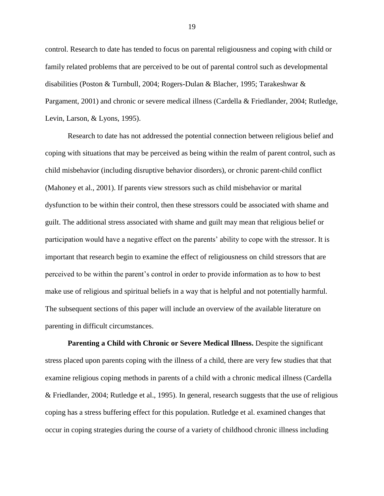control. Research to date has tended to focus on parental religiousness and coping with child or family related problems that are perceived to be out of parental control such as developmental disabilities (Poston & Turnbull, 2004; Rogers-Dulan & Blacher, 1995; Tarakeshwar & Pargament, 2001) and chronic or severe medical illness (Cardella & Friedlander, 2004; Rutledge, Levin, Larson, & Lyons, 1995).

Research to date has not addressed the potential connection between religious belief and coping with situations that may be perceived as being within the realm of parent control, such as child misbehavior (including disruptive behavior disorders), or chronic parent-child conflict (Mahoney et al., 2001). If parents view stressors such as child misbehavior or marital dysfunction to be within their control, then these stressors could be associated with shame and guilt. The additional stress associated with shame and guilt may mean that religious belief or participation would have a negative effect on the parents" ability to cope with the stressor. It is important that research begin to examine the effect of religiousness on child stressors that are perceived to be within the parent"s control in order to provide information as to how to best make use of religious and spiritual beliefs in a way that is helpful and not potentially harmful. The subsequent sections of this paper will include an overview of the available literature on parenting in difficult circumstances.

**Parenting a Child with Chronic or Severe Medical Illness.** Despite the significant stress placed upon parents coping with the illness of a child, there are very few studies that that examine religious coping methods in parents of a child with a chronic medical illness (Cardella & Friedlander, 2004; Rutledge et al., 1995). In general, research suggests that the use of religious coping has a stress buffering effect for this population. Rutledge et al. examined changes that occur in coping strategies during the course of a variety of childhood chronic illness including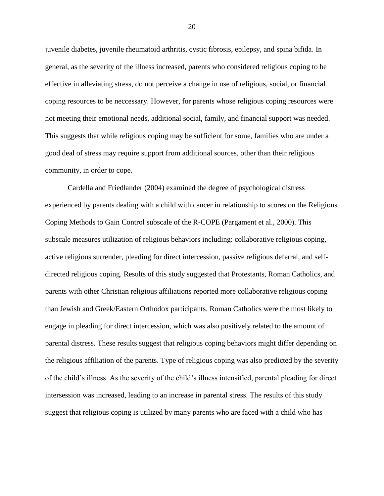juvenile diabetes, juvenile rheumatoid arthritis, cystic fibrosis, epilepsy, and spina bifida. In general, as the severity of the illness increased, parents who considered religious coping to be effective in alleviating stress, do not perceive a change in use of religious, social, or financial coping resources to be neccessary. However, for parents whose religious coping resources were not meeting their emotional needs, additional social, family, and financial support was needed. This suggests that while religious coping may be sufficient for some, families who are under a good deal of stress may require support from additional sources, other than their religious community, in order to cope.

Cardella and Friedlander (2004) examined the degree of psychological distress experienced by parents dealing with a child with cancer in relationship to scores on the Religious Coping Methods to Gain Control subscale of the R-COPE (Pargament et al., 2000). This subscale measures utilization of religious behaviors including: collaborative religious coping, active religious surrender, pleading for direct intercession, passive religious deferral, and selfdirected religious coping. Results of this study suggested that Protestants, Roman Catholics, and parents with other Christian religious affiliations reported more collaborative religious coping than Jewish and Greek/Eastern Orthodox participants. Roman Catholics were the most likely to engage in pleading for direct intercession, which was also positively related to the amount of parental distress. These results suggest that religious coping behaviors might differ depending on the religious affiliation of the parents. Type of religious coping was also predicted by the severity of the child"s illness. As the severity of the child"s illness intensified, parental pleading for direct intersession was increased, leading to an increase in parental stress. The results of this study suggest that religious coping is utilized by many parents who are faced with a child who has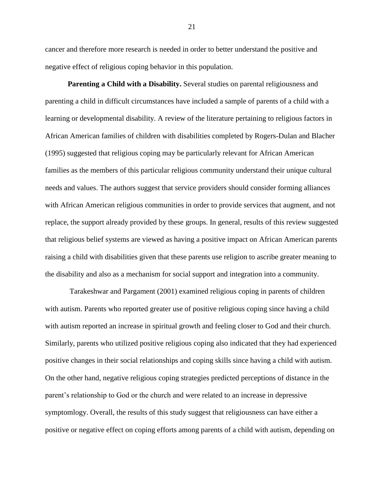cancer and therefore more research is needed in order to better understand the positive and negative effect of religious coping behavior in this population.

**Parenting a Child with a Disability.** Several studies on parental religiousness and parenting a child in difficult circumstances have included a sample of parents of a child with a learning or developmental disability. A review of the literature pertaining to religious factors in African American families of children with disabilities completed by Rogers-Dulan and Blacher (1995) suggested that religious coping may be particularly relevant for African American families as the members of this particular religious community understand their unique cultural needs and values. The authors suggest that service providers should consider forming alliances with African American religious communities in order to provide services that augment, and not replace, the support already provided by these groups. In general, results of this review suggested that religious belief systems are viewed as having a positive impact on African American parents raising a child with disabilities given that these parents use religion to ascribe greater meaning to the disability and also as a mechanism for social support and integration into a community.

Tarakeshwar and Pargament (2001) examined religious coping in parents of children with autism. Parents who reported greater use of positive religious coping since having a child with autism reported an increase in spiritual growth and feeling closer to God and their church. Similarly, parents who utilized positive religious coping also indicated that they had experienced positive changes in their social relationships and coping skills since having a child with autism. On the other hand, negative religious coping strategies predicted perceptions of distance in the parent"s relationship to God or the church and were related to an increase in depressive symptomlogy. Overall, the results of this study suggest that religiousness can have either a positive or negative effect on coping efforts among parents of a child with autism, depending on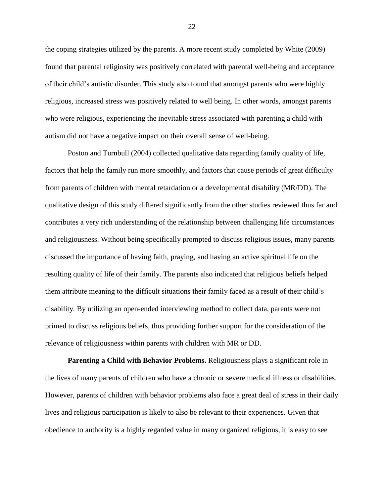the coping strategies utilized by the parents. A more recent study completed by White (2009) found that parental religiosity was positively correlated with parental well-being and acceptance of their child"s autistic disorder. This study also found that amongst parents who were highly religious, increased stress was positively related to well being. In other words, amongst parents who were religious, experiencing the inevitable stress associated with parenting a child with autism did not have a negative impact on their overall sense of well-being.

Poston and Turnbull (2004) collected qualitative data regarding family quality of life, factors that help the family run more smoothly, and factors that cause periods of great difficulty from parents of children with mental retardation or a developmental disability (MR/DD). The qualitative design of this study differed significantly from the other studies reviewed thus far and contributes a very rich understanding of the relationship between challenging life circumstances and religiousness. Without being specifically prompted to discuss religious issues, many parents discussed the importance of having faith, praying, and having an active spiritual life on the resulting quality of life of their family. The parents also indicated that religious beliefs helped them attribute meaning to the difficult situations their family faced as a result of their child"s disability. By utilizing an open-ended interviewing method to collect data, parents were not primed to discuss religious beliefs, thus providing further support for the consideration of the relevance of religiousness within parents with children with MR or DD.

**Parenting a Child with Behavior Problems.** Religiousness plays a significant role in the lives of many parents of children who have a chronic or severe medical illness or disabilities. However, parents of children with behavior problems also face a great deal of stress in their daily lives and religious participation is likely to also be relevant to their experiences. Given that obedience to authority is a highly regarded value in many organized religions, it is easy to see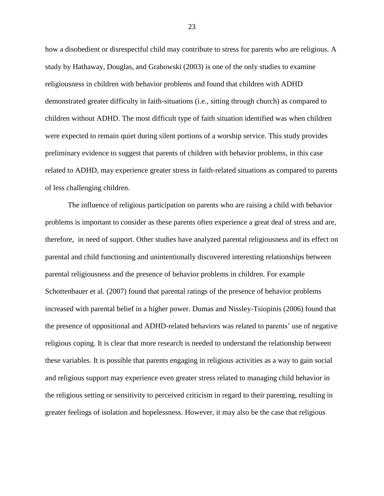how a disobedient or disrespectful child may contribute to stress for parents who are religious. A study by Hathaway, Douglas, and Grabowski (2003) is one of the only studies to examine religiousness in children with behavior problems and found that children with ADHD demonstrated greater difficulty in faith-situations (i.e., sitting through church) as compared to children without ADHD. The most difficult type of faith situation identified was when children were expected to remain quiet during silent portions of a worship service. This study provides preliminary evidence to suggest that parents of children with behavior problems, in this case related to ADHD, may experience greater stress in faith-related situations as compared to parents of less challenging children.

The influence of religious participation on parents who are raising a child with behavior problems is important to consider as these parents often experience a great deal of stress and are, therefore, in need of support. Other studies have analyzed parental religiousness and its effect on parental and child functioning and unintentionally discovered interesting relationships between parental religiousness and the presence of behavior problems in children. For example Schottenbauer et al. (2007) found that parental ratings of the presence of behavior problems increased with parental belief in a higher power. Dumas and Nissley-Tsiopinis (2006) found that the presence of oppositional and ADHD-related behaviors was related to parents" use of negative religious coping. It is clear that more research is needed to understand the relationship between these variables. It is possible that parents engaging in religious activities as a way to gain social and religious support may experience even greater stress related to managing child behavior in the religious setting or sensitivity to perceived criticism in regard to their parenting, resulting in greater feelings of isolation and hopelessness. However, it may also be the case that religious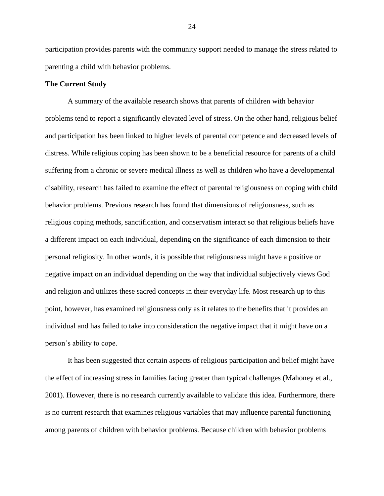participation provides parents with the community support needed to manage the stress related to parenting a child with behavior problems.

#### **The Current Study**

A summary of the available research shows that parents of children with behavior problems tend to report a significantly elevated level of stress. On the other hand, religious belief and participation has been linked to higher levels of parental competence and decreased levels of distress. While religious coping has been shown to be a beneficial resource for parents of a child suffering from a chronic or severe medical illness as well as children who have a developmental disability, research has failed to examine the effect of parental religiousness on coping with child behavior problems. Previous research has found that dimensions of religiousness, such as religious coping methods, sanctification, and conservatism interact so that religious beliefs have a different impact on each individual, depending on the significance of each dimension to their personal religiosity. In other words, it is possible that religiousness might have a positive or negative impact on an individual depending on the way that individual subjectively views God and religion and utilizes these sacred concepts in their everyday life. Most research up to this point, however, has examined religiousness only as it relates to the benefits that it provides an individual and has failed to take into consideration the negative impact that it might have on a person"s ability to cope.

It has been suggested that certain aspects of religious participation and belief might have the effect of increasing stress in families facing greater than typical challenges (Mahoney et al., 2001). However, there is no research currently available to validate this idea. Furthermore, there is no current research that examines religious variables that may influence parental functioning among parents of children with behavior problems. Because children with behavior problems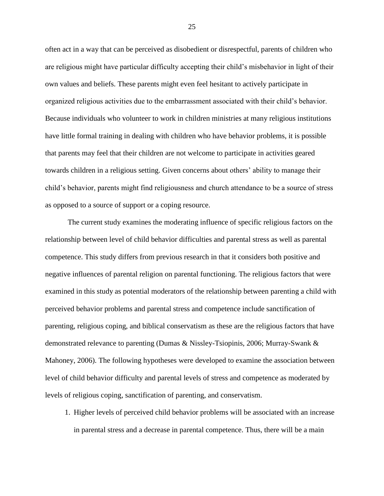often act in a way that can be perceived as disobedient or disrespectful, parents of children who are religious might have particular difficulty accepting their child"s misbehavior in light of their own values and beliefs. These parents might even feel hesitant to actively participate in organized religious activities due to the embarrassment associated with their child"s behavior. Because individuals who volunteer to work in children ministries at many religious institutions have little formal training in dealing with children who have behavior problems, it is possible that parents may feel that their children are not welcome to participate in activities geared towards children in a religious setting. Given concerns about others" ability to manage their child"s behavior, parents might find religiousness and church attendance to be a source of stress as opposed to a source of support or a coping resource.

The current study examines the moderating influence of specific religious factors on the relationship between level of child behavior difficulties and parental stress as well as parental competence. This study differs from previous research in that it considers both positive and negative influences of parental religion on parental functioning. The religious factors that were examined in this study as potential moderators of the relationship between parenting a child with perceived behavior problems and parental stress and competence include sanctification of parenting, religious coping, and biblical conservatism as these are the religious factors that have demonstrated relevance to parenting (Dumas & Nissley-Tsiopinis, 2006; Murray-Swank & Mahoney, 2006). The following hypotheses were developed to examine the association between level of child behavior difficulty and parental levels of stress and competence as moderated by levels of religious coping, sanctification of parenting, and conservatism.

1. Higher levels of perceived child behavior problems will be associated with an increase in parental stress and a decrease in parental competence. Thus, there will be a main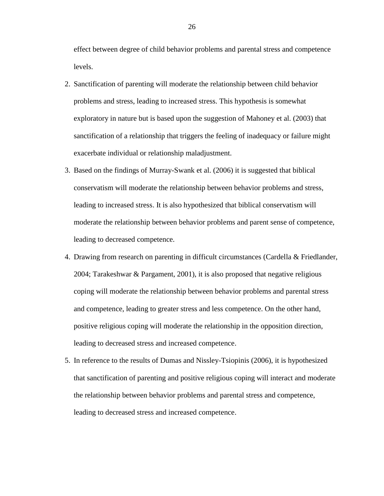effect between degree of child behavior problems and parental stress and competence levels.

- 2. Sanctification of parenting will moderate the relationship between child behavior problems and stress, leading to increased stress. This hypothesis is somewhat exploratory in nature but is based upon the suggestion of Mahoney et al. (2003) that sanctification of a relationship that triggers the feeling of inadequacy or failure might exacerbate individual or relationship maladjustment.
- 3. Based on the findings of Murray-Swank et al. (2006) it is suggested that biblical conservatism will moderate the relationship between behavior problems and stress, leading to increased stress. It is also hypothesized that biblical conservatism will moderate the relationship between behavior problems and parent sense of competence, leading to decreased competence.
- 4. Drawing from research on parenting in difficult circumstances (Cardella & Friedlander, 2004; Tarakeshwar & Pargament, 2001), it is also proposed that negative religious coping will moderate the relationship between behavior problems and parental stress and competence, leading to greater stress and less competence. On the other hand, positive religious coping will moderate the relationship in the opposition direction, leading to decreased stress and increased competence.
- 5. In reference to the results of Dumas and Nissley-Tsiopinis (2006), it is hypothesized that sanctification of parenting and positive religious coping will interact and moderate the relationship between behavior problems and parental stress and competence, leading to decreased stress and increased competence.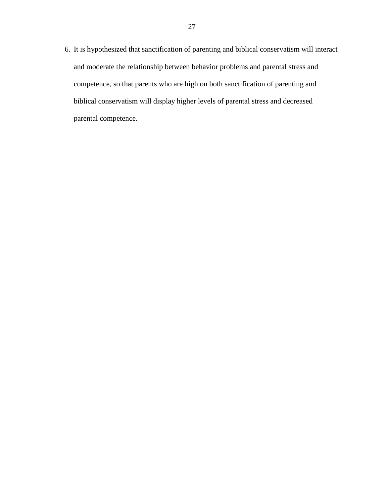6. It is hypothesized that sanctification of parenting and biblical conservatism will interact and moderate the relationship between behavior problems and parental stress and competence, so that parents who are high on both sanctification of parenting and biblical conservatism will display higher levels of parental stress and decreased parental competence.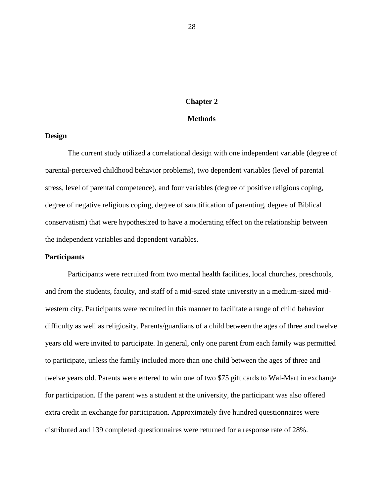# **Chapter 2**

### **Methods**

### **Design**

The current study utilized a correlational design with one independent variable (degree of parental-perceived childhood behavior problems), two dependent variables (level of parental stress, level of parental competence), and four variables (degree of positive religious coping, degree of negative religious coping, degree of sanctification of parenting, degree of Biblical conservatism) that were hypothesized to have a moderating effect on the relationship between the independent variables and dependent variables.

#### **Participants**

Participants were recruited from two mental health facilities, local churches, preschools, and from the students, faculty, and staff of a mid-sized state university in a medium-sized midwestern city. Participants were recruited in this manner to facilitate a range of child behavior difficulty as well as religiosity. Parents/guardians of a child between the ages of three and twelve years old were invited to participate. In general, only one parent from each family was permitted to participate, unless the family included more than one child between the ages of three and twelve years old. Parents were entered to win one of two \$75 gift cards to Wal-Mart in exchange for participation. If the parent was a student at the university, the participant was also offered extra credit in exchange for participation. Approximately five hundred questionnaires were distributed and 139 completed questionnaires were returned for a response rate of 28%.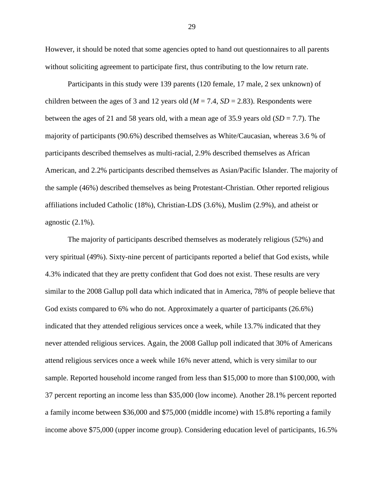However, it should be noted that some agencies opted to hand out questionnaires to all parents without soliciting agreement to participate first, thus contributing to the low return rate.

Participants in this study were 139 parents (120 female, 17 male, 2 sex unknown) of children between the ages of 3 and 12 years old ( $M = 7.4$ ,  $SD = 2.83$ ). Respondents were between the ages of 21 and 58 years old, with a mean age of 35.9 years old (*SD* = 7.7). The majority of participants (90.6%) described themselves as White/Caucasian, whereas 3.6 % of participants described themselves as multi-racial, 2.9% described themselves as African American, and 2.2% participants described themselves as Asian/Pacific Islander. The majority of the sample (46%) described themselves as being Protestant-Christian. Other reported religious affiliations included Catholic (18%), Christian-LDS (3.6%), Muslim (2.9%), and atheist or agnostic (2.1%).

The majority of participants described themselves as moderately religious (52%) and very spiritual (49%). Sixty-nine percent of participants reported a belief that God exists, while 4.3% indicated that they are pretty confident that God does not exist. These results are very similar to the 2008 Gallup poll data which indicated that in America, 78% of people believe that God exists compared to 6% who do not. Approximately a quarter of participants (26.6%) indicated that they attended religious services once a week, while 13.7% indicated that they never attended religious services. Again, the 2008 Gallup poll indicated that 30% of Americans attend religious services once a week while 16% never attend, which is very similar to our sample. Reported household income ranged from less than \$15,000 to more than \$100,000, with 37 percent reporting an income less than \$35,000 (low income). Another 28.1% percent reported a family income between \$36,000 and \$75,000 (middle income) with 15.8% reporting a family income above \$75,000 (upper income group). Considering education level of participants, 16.5%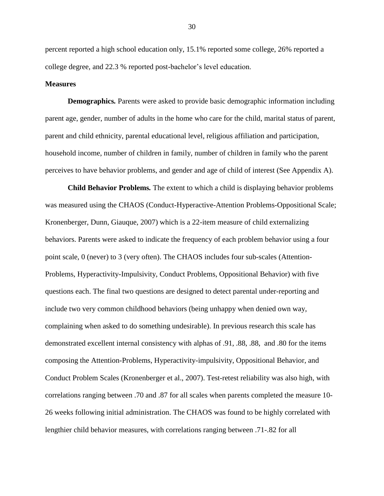percent reported a high school education only, 15.1% reported some college, 26% reported a college degree, and 22.3 % reported post-bachelor"s level education.

### **Measures**

**Demographics***.* Parents were asked to provide basic demographic information including parent age, gender, number of adults in the home who care for the child, marital status of parent, parent and child ethnicity, parental educational level, religious affiliation and participation, household income, number of children in family, number of children in family who the parent perceives to have behavior problems, and gender and age of child of interest (See Appendix A).

**Child Behavior Problems***.* The extent to which a child is displaying behavior problems was measured using the CHAOS (Conduct-Hyperactive-Attention Problems-Oppositional Scale; Kronenberger, Dunn, Giauque, 2007) which is a 22-item measure of child externalizing behaviors. Parents were asked to indicate the frequency of each problem behavior using a four point scale, 0 (never) to 3 (very often). The CHAOS includes four sub-scales (Attention-Problems, Hyperactivity-Impulsivity, Conduct Problems, Oppositional Behavior) with five questions each. The final two questions are designed to detect parental under-reporting and include two very common childhood behaviors (being unhappy when denied own way, complaining when asked to do something undesirable). In previous research this scale has demonstrated excellent internal consistency with alphas of .91, .88, .88, and .80 for the items composing the Attention-Problems, Hyperactivity-impulsivity, Oppositional Behavior, and Conduct Problem Scales (Kronenberger et al., 2007). Test-retest reliability was also high, with correlations ranging between .70 and .87 for all scales when parents completed the measure 10- 26 weeks following initial administration. The CHAOS was found to be highly correlated with lengthier child behavior measures, with correlations ranging between .71-.82 for all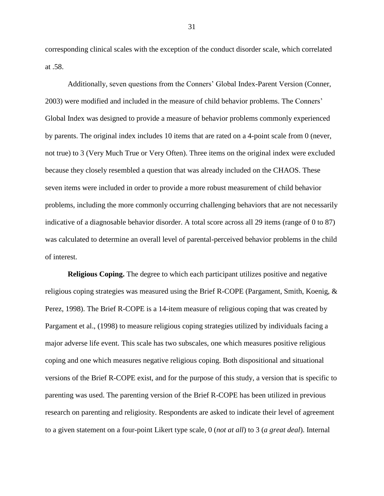corresponding clinical scales with the exception of the conduct disorder scale, which correlated at .58.

Additionally, seven questions from the Conners" Global Index-Parent Version (Conner, 2003) were modified and included in the measure of child behavior problems. The Conners" Global Index was designed to provide a measure of behavior problems commonly experienced by parents. The original index includes 10 items that are rated on a 4-point scale from 0 (never, not true) to 3 (Very Much True or Very Often). Three items on the original index were excluded because they closely resembled a question that was already included on the CHAOS. These seven items were included in order to provide a more robust measurement of child behavior problems, including the more commonly occurring challenging behaviors that are not necessarily indicative of a diagnosable behavior disorder. A total score across all 29 items (range of 0 to 87) was calculated to determine an overall level of parental-perceived behavior problems in the child of interest.

**Religious Coping.** The degree to which each participant utilizes positive and negative religious coping strategies was measured using the Brief R-COPE (Pargament, Smith, Koenig, & Perez, 1998). The Brief R-COPE is a 14-item measure of religious coping that was created by Pargament et al., (1998) to measure religious coping strategies utilized by individuals facing a major adverse life event. This scale has two subscales, one which measures positive religious coping and one which measures negative religious coping. Both dispositional and situational versions of the Brief R-COPE exist, and for the purpose of this study, a version that is specific to parenting was used. The parenting version of the Brief R-COPE has been utilized in previous research on parenting and religiosity. Respondents are asked to indicate their level of agreement to a given statement on a four-point Likert type scale, 0 (*not at all*) to 3 (*a great deal*). Internal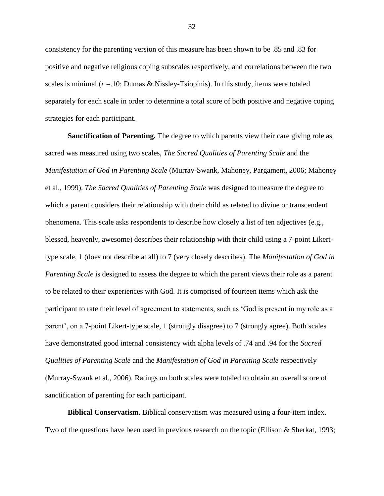consistency for the parenting version of this measure has been shown to be .85 and .83 for positive and negative religious coping subscales respectively, and correlations between the two scales is minimal  $(r = .10;$  Dumas & Nissley-Tsiopinis). In this study, items were totaled separately for each scale in order to determine a total score of both positive and negative coping strategies for each participant.

**Sanctification of Parenting.** The degree to which parents view their care giving role as sacred was measured using two scales, *The Sacred Qualities of Parenting Scale* and the *Manifestation of God in Parenting Scale* (Murray-Swank, Mahoney, Pargament, 2006; Mahoney et al., 1999). *The Sacred Qualities of Parenting Scale* was designed to measure the degree to which a parent considers their relationship with their child as related to divine or transcendent phenomena. This scale asks respondents to describe how closely a list of ten adjectives (e.g., blessed, heavenly, awesome) describes their relationship with their child using a 7-point Likerttype scale, 1 (does not describe at all) to 7 (very closely describes). The *Manifestation of God in Parenting Scale* is designed to assess the degree to which the parent views their role as a parent to be related to their experiences with God. It is comprised of fourteen items which ask the participant to rate their level of agreement to statements, such as "God is present in my role as a parent", on a 7-point Likert-type scale, 1 (strongly disagree) to 7 (strongly agree). Both scales have demonstrated good internal consistency with alpha levels of .74 and .94 for the *Sacred Qualities of Parenting Scale* and the *Manifestation of God in Parenting Scale* respectively (Murray-Swank et al., 2006). Ratings on both scales were totaled to obtain an overall score of sanctification of parenting for each participant.

**Biblical Conservatism.** Biblical conservatism was measured using a four-item index. Two of the questions have been used in previous research on the topic (Ellison & Sherkat, 1993;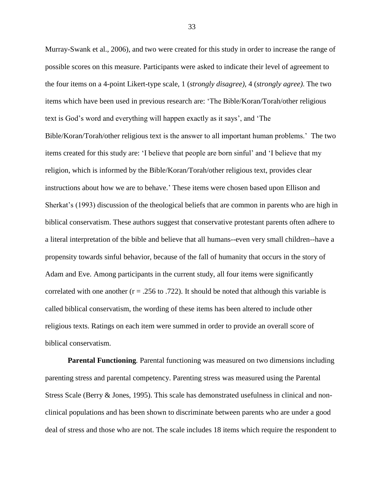Murray-Swank et al., 2006), and two were created for this study in order to increase the range of possible scores on this measure. Participants were asked to indicate their level of agreement to the four items on a 4-point Likert-type scale, 1 (*strongly disagree),* 4 (*strongly agree)*. The two items which have been used in previous research are: "The Bible/Koran/Torah/other religious text is God"s word and everything will happen exactly as it says", and "The Bible/Koran/Torah/other religious text is the answer to all important human problems." The two

items created for this study are: "I believe that people are born sinful" and "I believe that my religion, which is informed by the Bible/Koran/Torah/other religious text, provides clear instructions about how we are to behave." These items were chosen based upon Ellison and Sherkat"s (1993) discussion of the theological beliefs that are common in parents who are high in biblical conservatism. These authors suggest that conservative protestant parents often adhere to a literal interpretation of the bible and believe that all humans--even very small children--have a propensity towards sinful behavior, because of the fall of humanity that occurs in the story of Adam and Eve. Among participants in the current study, all four items were significantly correlated with one another  $(r = .256$  to .722). It should be noted that although this variable is called biblical conservatism, the wording of these items has been altered to include other religious texts. Ratings on each item were summed in order to provide an overall score of biblical conservatism.

**Parental Functioning***.* Parental functioning was measured on two dimensions including parenting stress and parental competency. Parenting stress was measured using the Parental Stress Scale (Berry & Jones, 1995). This scale has demonstrated usefulness in clinical and nonclinical populations and has been shown to discriminate between parents who are under a good deal of stress and those who are not. The scale includes 18 items which require the respondent to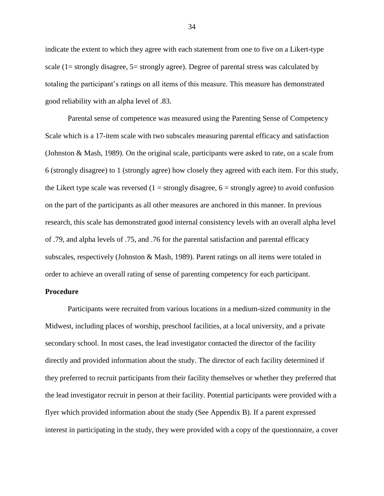indicate the extent to which they agree with each statement from one to five on a Likert-type scale (1= strongly disagree, 5= strongly agree). Degree of parental stress was calculated by totaling the participant"s ratings on all items of this measure. This measure has demonstrated good reliability with an alpha level of .83.

Parental sense of competence was measured using the Parenting Sense of Competency Scale which is a 17-item scale with two subscales measuring parental efficacy and satisfaction (Johnston & Mash, 1989). On the original scale, participants were asked to rate, on a scale from 6 (strongly disagree) to 1 (strongly agree) how closely they agreed with each item. For this study, the Likert type scale was reversed  $(1 = \text{strongly disagree}, 6 = \text{strongly agree})$  to avoid confusion on the part of the participants as all other measures are anchored in this manner. In previous research, this scale has demonstrated good internal consistency levels with an overall alpha level of .79, and alpha levels of .75, and .76 for the parental satisfaction and parental efficacy subscales, respectively (Johnston & Mash, 1989). Parent ratings on all items were totaled in order to achieve an overall rating of sense of parenting competency for each participant.

# **Procedure**

Participants were recruited from various locations in a medium-sized community in the Midwest, including places of worship, preschool facilities, at a local university, and a private secondary school. In most cases, the lead investigator contacted the director of the facility directly and provided information about the study. The director of each facility determined if they preferred to recruit participants from their facility themselves or whether they preferred that the lead investigator recruit in person at their facility. Potential participants were provided with a flyer which provided information about the study (See Appendix B). If a parent expressed interest in participating in the study, they were provided with a copy of the questionnaire, a cover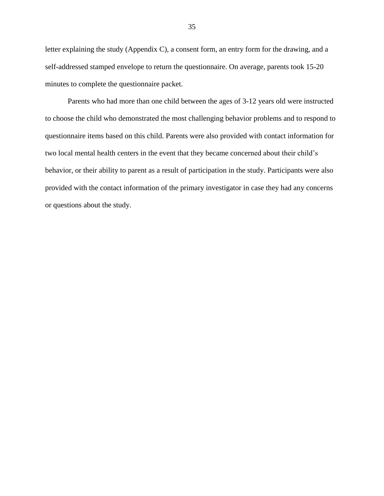letter explaining the study (Appendix C), a consent form, an entry form for the drawing, and a self-addressed stamped envelope to return the questionnaire. On average, parents took 15-20 minutes to complete the questionnaire packet.

Parents who had more than one child between the ages of 3-12 years old were instructed to choose the child who demonstrated the most challenging behavior problems and to respond to questionnaire items based on this child. Parents were also provided with contact information for two local mental health centers in the event that they became concerned about their child"s behavior, or their ability to parent as a result of participation in the study. Participants were also provided with the contact information of the primary investigator in case they had any concerns or questions about the study.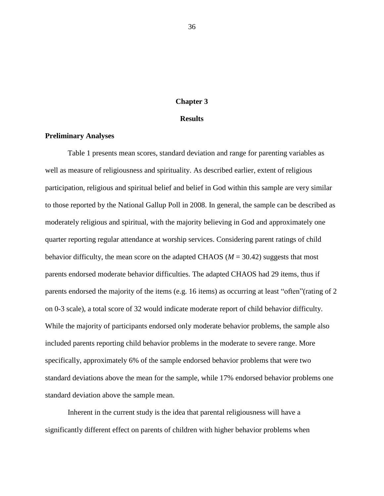# **Chapter 3**

### **Results**

# **Preliminary Analyses**

 Table 1 presents mean scores, standard deviation and range for parenting variables as well as measure of religiousness and spirituality. As described earlier, extent of religious participation, religious and spiritual belief and belief in God within this sample are very similar to those reported by the National Gallup Poll in 2008. In general, the sample can be described as moderately religious and spiritual, with the majority believing in God and approximately one quarter reporting regular attendance at worship services. Considering parent ratings of child behavior difficulty, the mean score on the adapted CHAOS ( $M = 30.42$ ) suggests that most parents endorsed moderate behavior difficulties. The adapted CHAOS had 29 items, thus if parents endorsed the majority of the items (e.g. 16 items) as occurring at least "often"(rating of 2 on 0-3 scale), a total score of 32 would indicate moderate report of child behavior difficulty. While the majority of participants endorsed only moderate behavior problems, the sample also included parents reporting child behavior problems in the moderate to severe range. More specifically, approximately 6% of the sample endorsed behavior problems that were two standard deviations above the mean for the sample, while 17% endorsed behavior problems one standard deviation above the sample mean.

Inherent in the current study is the idea that parental religiousness will have a significantly different effect on parents of children with higher behavior problems when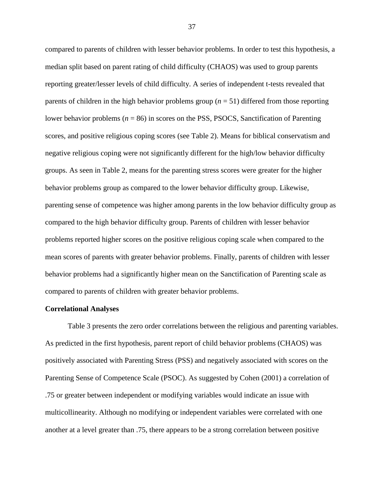compared to parents of children with lesser behavior problems. In order to test this hypothesis, a median split based on parent rating of child difficulty (CHAOS) was used to group parents reporting greater/lesser levels of child difficulty. A series of independent t-tests revealed that parents of children in the high behavior problems group (*n* = 51) differed from those reporting lower behavior problems (*n* = 86) in scores on the PSS, PSOCS, Sanctification of Parenting scores, and positive religious coping scores (see Table 2). Means for biblical conservatism and negative religious coping were not significantly different for the high/low behavior difficulty groups. As seen in Table 2, means for the parenting stress scores were greater for the higher behavior problems group as compared to the lower behavior difficulty group. Likewise, parenting sense of competence was higher among parents in the low behavior difficulty group as compared to the high behavior difficulty group. Parents of children with lesser behavior problems reported higher scores on the positive religious coping scale when compared to the mean scores of parents with greater behavior problems. Finally, parents of children with lesser behavior problems had a significantly higher mean on the Sanctification of Parenting scale as compared to parents of children with greater behavior problems.

### **Correlational Analyses**

Table 3 presents the zero order correlations between the religious and parenting variables. As predicted in the first hypothesis, parent report of child behavior problems (CHAOS) was positively associated with Parenting Stress (PSS) and negatively associated with scores on the Parenting Sense of Competence Scale (PSOC). As suggested by Cohen (2001) a correlation of .75 or greater between independent or modifying variables would indicate an issue with multicollinearity. Although no modifying or independent variables were correlated with one another at a level greater than .75, there appears to be a strong correlation between positive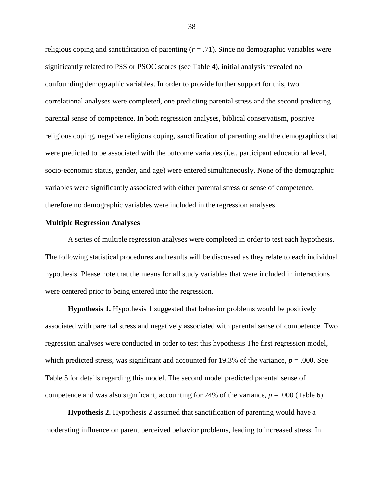religious coping and sanctification of parenting  $(r = .71)$ . Since no demographic variables were significantly related to PSS or PSOC scores (see Table 4), initial analysis revealed no confounding demographic variables. In order to provide further support for this, two correlational analyses were completed, one predicting parental stress and the second predicting parental sense of competence. In both regression analyses, biblical conservatism, positive religious coping, negative religious coping, sanctification of parenting and the demographics that were predicted to be associated with the outcome variables (i.e., participant educational level, socio-economic status, gender, and age) were entered simultaneously. None of the demographic variables were significantly associated with either parental stress or sense of competence, therefore no demographic variables were included in the regression analyses.

#### **Multiple Regression Analyses**

A series of multiple regression analyses were completed in order to test each hypothesis. The following statistical procedures and results will be discussed as they relate to each individual hypothesis. Please note that the means for all study variables that were included in interactions were centered prior to being entered into the regression.

**Hypothesis 1.** Hypothesis 1 suggested that behavior problems would be positively associated with parental stress and negatively associated with parental sense of competence. Two regression analyses were conducted in order to test this hypothesis The first regression model, which predicted stress, was significant and accounted for 19.3% of the variance,  $p = .000$ . See Table 5 for details regarding this model. The second model predicted parental sense of competence and was also significant, accounting for 24% of the variance,  $p = .000$  (Table 6).

**Hypothesis 2.** Hypothesis 2 assumed that sanctification of parenting would have a moderating influence on parent perceived behavior problems, leading to increased stress. In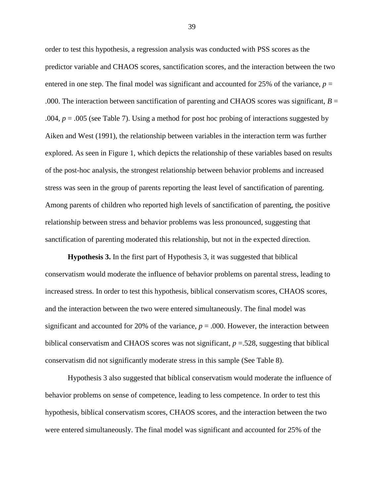order to test this hypothesis, a regression analysis was conducted with PSS scores as the predictor variable and CHAOS scores, sanctification scores, and the interaction between the two entered in one step. The final model was significant and accounted for  $25\%$  of the variance,  $p =$ .000. The interaction between sanctification of parenting and CHAOS scores was significant,  $B =$ .004, *p* = .005 (see Table 7). Using a method for post hoc probing of interactions suggested by Aiken and West (1991), the relationship between variables in the interaction term was further explored. As seen in Figure 1, which depicts the relationship of these variables based on results of the post-hoc analysis, the strongest relationship between behavior problems and increased stress was seen in the group of parents reporting the least level of sanctification of parenting. Among parents of children who reported high levels of sanctification of parenting, the positive relationship between stress and behavior problems was less pronounced, suggesting that sanctification of parenting moderated this relationship, but not in the expected direction.

**Hypothesis 3.** In the first part of Hypothesis 3, it was suggested that biblical conservatism would moderate the influence of behavior problems on parental stress, leading to increased stress. In order to test this hypothesis, biblical conservatism scores, CHAOS scores, and the interaction between the two were entered simultaneously. The final model was significant and accounted for 20% of the variance,  $p = .000$ . However, the interaction between biblical conservatism and CHAOS scores was not significant, *p* =.528, suggesting that biblical conservatism did not significantly moderate stress in this sample (See Table 8).

Hypothesis 3 also suggested that biblical conservatism would moderate the influence of behavior problems on sense of competence, leading to less competence. In order to test this hypothesis, biblical conservatism scores, CHAOS scores, and the interaction between the two were entered simultaneously. The final model was significant and accounted for 25% of the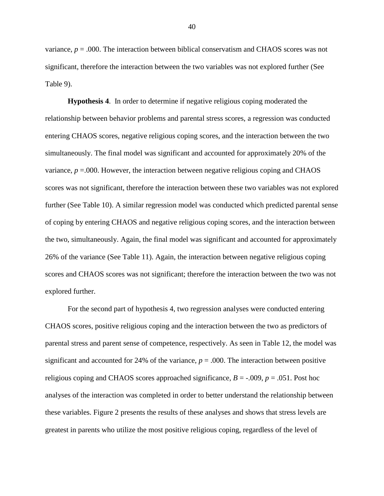variance,  $p = .000$ . The interaction between biblical conservatism and CHAOS scores was not significant, therefore the interaction between the two variables was not explored further (See Table 9).

**Hypothesis 4**. In order to determine if negative religious coping moderated the relationship between behavior problems and parental stress scores, a regression was conducted entering CHAOS scores, negative religious coping scores, and the interaction between the two simultaneously. The final model was significant and accounted for approximately 20% of the variance,  $p = 0.00$ . However, the interaction between negative religious coping and CHAOS scores was not significant, therefore the interaction between these two variables was not explored further (See Table 10). A similar regression model was conducted which predicted parental sense of coping by entering CHAOS and negative religious coping scores, and the interaction between the two, simultaneously. Again, the final model was significant and accounted for approximately 26% of the variance (See Table 11). Again, the interaction between negative religious coping scores and CHAOS scores was not significant; therefore the interaction between the two was not explored further.

For the second part of hypothesis 4, two regression analyses were conducted entering CHAOS scores, positive religious coping and the interaction between the two as predictors of parental stress and parent sense of competence, respectively. As seen in Table 12, the model was significant and accounted for 24% of the variance,  $p = .000$ . The interaction between positive religious coping and CHAOS scores approached significance, *B* = -.009, *p* = .051. Post hoc analyses of the interaction was completed in order to better understand the relationship between these variables. Figure 2 presents the results of these analyses and shows that stress levels are greatest in parents who utilize the most positive religious coping, regardless of the level of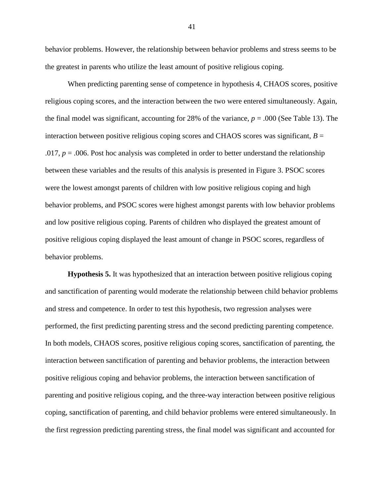behavior problems. However, the relationship between behavior problems and stress seems to be the greatest in parents who utilize the least amount of positive religious coping.

When predicting parenting sense of competence in hypothesis 4, CHAOS scores, positive religious coping scores, and the interaction between the two were entered simultaneously. Again, the final model was significant, accounting for 28% of the variance, *p* = .000 (See Table 13). The interaction between positive religious coping scores and CHAOS scores was significant,  $B =$ .017,  $p = .006$ . Post hoc analysis was completed in order to better understand the relationship between these variables and the results of this analysis is presented in Figure 3. PSOC scores were the lowest amongst parents of children with low positive religious coping and high behavior problems, and PSOC scores were highest amongst parents with low behavior problems and low positive religious coping. Parents of children who displayed the greatest amount of positive religious coping displayed the least amount of change in PSOC scores, regardless of behavior problems.

**Hypothesis 5.** It was hypothesized that an interaction between positive religious coping and sanctification of parenting would moderate the relationship between child behavior problems and stress and competence. In order to test this hypothesis, two regression analyses were performed, the first predicting parenting stress and the second predicting parenting competence. In both models, CHAOS scores, positive religious coping scores, sanctification of parenting, the interaction between sanctification of parenting and behavior problems, the interaction between positive religious coping and behavior problems, the interaction between sanctification of parenting and positive religious coping, and the three-way interaction between positive religious coping, sanctification of parenting, and child behavior problems were entered simultaneously. In the first regression predicting parenting stress, the final model was significant and accounted for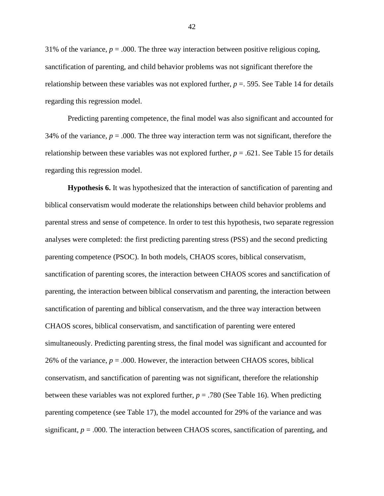31% of the variance,  $p = 0.000$ . The three way interaction between positive religious coping, sanctification of parenting, and child behavior problems was not significant therefore the relationship between these variables was not explored further, *p* =. 595. See Table 14 for details regarding this regression model.

Predicting parenting competence, the final model was also significant and accounted for 34% of the variance,  $p = .000$ . The three way interaction term was not significant, therefore the relationship between these variables was not explored further,  $p = .621$ . See Table 15 for details regarding this regression model.

**Hypothesis 6.** It was hypothesized that the interaction of sanctification of parenting and biblical conservatism would moderate the relationships between child behavior problems and parental stress and sense of competence. In order to test this hypothesis, two separate regression analyses were completed: the first predicting parenting stress (PSS) and the second predicting parenting competence (PSOC). In both models, CHAOS scores, biblical conservatism, sanctification of parenting scores, the interaction between CHAOS scores and sanctification of parenting, the interaction between biblical conservatism and parenting, the interaction between sanctification of parenting and biblical conservatism, and the three way interaction between CHAOS scores, biblical conservatism, and sanctification of parenting were entered simultaneously. Predicting parenting stress, the final model was significant and accounted for 26% of the variance,  $p = .000$ . However, the interaction between CHAOS scores, biblical conservatism, and sanctification of parenting was not significant, therefore the relationship between these variables was not explored further,  $p = .780$  (See Table 16). When predicting parenting competence (see Table 17), the model accounted for 29% of the variance and was significant,  $p = .000$ . The interaction between CHAOS scores, sanctification of parenting, and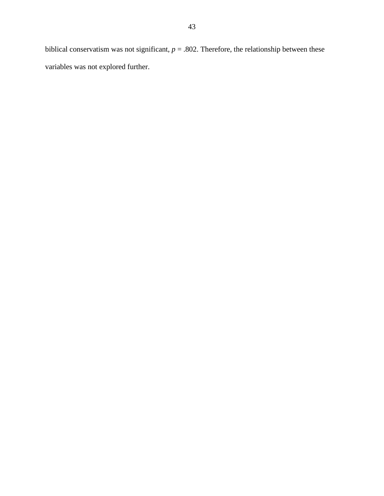biblical conservatism was not significant,  $p = .802$ . Therefore, the relationship between these variables was not explored further.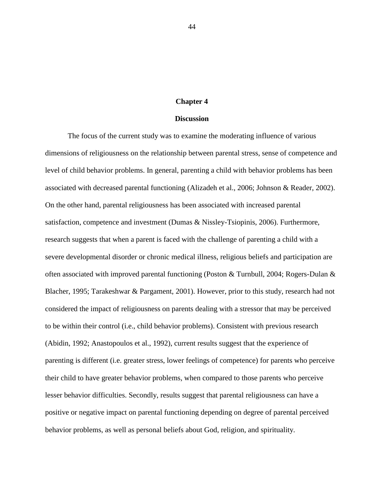## **Chapter 4**

### **Discussion**

The focus of the current study was to examine the moderating influence of various dimensions of religiousness on the relationship between parental stress, sense of competence and level of child behavior problems. In general, parenting a child with behavior problems has been associated with decreased parental functioning (Alizadeh et al., 2006; Johnson & Reader, 2002). On the other hand, parental religiousness has been associated with increased parental satisfaction, competence and investment (Dumas & Nissley-Tsiopinis, 2006). Furthermore, research suggests that when a parent is faced with the challenge of parenting a child with a severe developmental disorder or chronic medical illness, religious beliefs and participation are often associated with improved parental functioning (Poston & Turnbull, 2004; Rogers-Dulan & Blacher, 1995; Tarakeshwar & Pargament, 2001). However, prior to this study, research had not considered the impact of religiousness on parents dealing with a stressor that may be perceived to be within their control (i.e., child behavior problems). Consistent with previous research (Abidin, 1992; Anastopoulos et al., 1992), current results suggest that the experience of parenting is different (i.e. greater stress, lower feelings of competence) for parents who perceive their child to have greater behavior problems, when compared to those parents who perceive lesser behavior difficulties. Secondly, results suggest that parental religiousness can have a positive or negative impact on parental functioning depending on degree of parental perceived behavior problems, as well as personal beliefs about God, religion, and spirituality.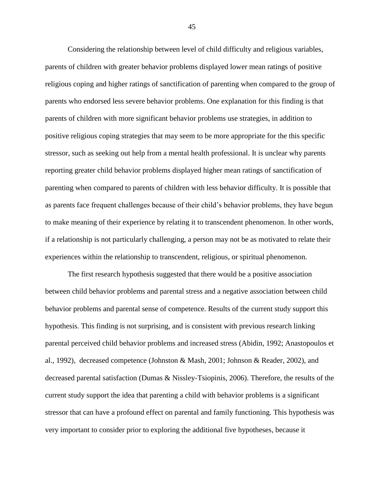Considering the relationship between level of child difficulty and religious variables, parents of children with greater behavior problems displayed lower mean ratings of positive religious coping and higher ratings of sanctification of parenting when compared to the group of parents who endorsed less severe behavior problems. One explanation for this finding is that parents of children with more significant behavior problems use strategies, in addition to positive religious coping strategies that may seem to be more appropriate for the this specific stressor, such as seeking out help from a mental health professional. It is unclear why parents reporting greater child behavior problems displayed higher mean ratings of sanctification of parenting when compared to parents of children with less behavior difficulty. It is possible that as parents face frequent challenges because of their child"s behavior problems, they have begun to make meaning of their experience by relating it to transcendent phenomenon. In other words, if a relationship is not particularly challenging, a person may not be as motivated to relate their experiences within the relationship to transcendent, religious, or spiritual phenomenon.

The first research hypothesis suggested that there would be a positive association between child behavior problems and parental stress and a negative association between child behavior problems and parental sense of competence. Results of the current study support this hypothesis. This finding is not surprising, and is consistent with previous research linking parental perceived child behavior problems and increased stress (Abidin, 1992; Anastopoulos et al., 1992), decreased competence (Johnston & Mash, 2001; Johnson & Reader, 2002), and decreased parental satisfaction (Dumas & Nissley-Tsiopinis, 2006). Therefore, the results of the current study support the idea that parenting a child with behavior problems is a significant stressor that can have a profound effect on parental and family functioning. This hypothesis was very important to consider prior to exploring the additional five hypotheses, because it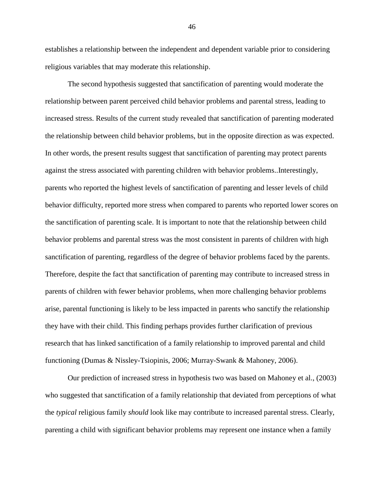establishes a relationship between the independent and dependent variable prior to considering religious variables that may moderate this relationship.

The second hypothesis suggested that sanctification of parenting would moderate the relationship between parent perceived child behavior problems and parental stress, leading to increased stress. Results of the current study revealed that sanctification of parenting moderated the relationship between child behavior problems, but in the opposite direction as was expected. In other words, the present results suggest that sanctification of parenting may protect parents against the stress associated with parenting children with behavior problems..Interestingly, parents who reported the highest levels of sanctification of parenting and lesser levels of child behavior difficulty, reported more stress when compared to parents who reported lower scores on the sanctification of parenting scale. It is important to note that the relationship between child behavior problems and parental stress was the most consistent in parents of children with high sanctification of parenting, regardless of the degree of behavior problems faced by the parents. Therefore, despite the fact that sanctification of parenting may contribute to increased stress in parents of children with fewer behavior problems, when more challenging behavior problems arise, parental functioning is likely to be less impacted in parents who sanctify the relationship they have with their child. This finding perhaps provides further clarification of previous research that has linked sanctification of a family relationship to improved parental and child functioning (Dumas & Nissley-Tsiopinis, 2006; Murray-Swank & Mahoney, 2006).

Our prediction of increased stress in hypothesis two was based on Mahoney et al., (2003) who suggested that sanctification of a family relationship that deviated from perceptions of what the *typical* religious family *should* look like may contribute to increased parental stress. Clearly, parenting a child with significant behavior problems may represent one instance when a family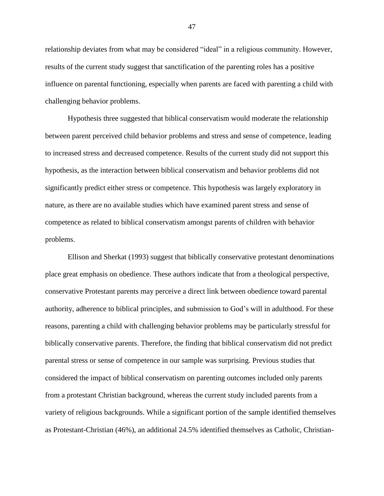relationship deviates from what may be considered "ideal" in a religious community. However, results of the current study suggest that sanctification of the parenting roles has a positive influence on parental functioning, especially when parents are faced with parenting a child with challenging behavior problems.

Hypothesis three suggested that biblical conservatism would moderate the relationship between parent perceived child behavior problems and stress and sense of competence, leading to increased stress and decreased competence. Results of the current study did not support this hypothesis, as the interaction between biblical conservatism and behavior problems did not significantly predict either stress or competence. This hypothesis was largely exploratory in nature, as there are no available studies which have examined parent stress and sense of competence as related to biblical conservatism amongst parents of children with behavior problems.

Ellison and Sherkat (1993) suggest that biblically conservative protestant denominations place great emphasis on obedience. These authors indicate that from a theological perspective, conservative Protestant parents may perceive a direct link between obedience toward parental authority, adherence to biblical principles, and submission to God"s will in adulthood. For these reasons, parenting a child with challenging behavior problems may be particularly stressful for biblically conservative parents. Therefore, the finding that biblical conservatism did not predict parental stress or sense of competence in our sample was surprising. Previous studies that considered the impact of biblical conservatism on parenting outcomes included only parents from a protestant Christian background, whereas the current study included parents from a variety of religious backgrounds. While a significant portion of the sample identified themselves as Protestant-Christian (46%), an additional 24.5% identified themselves as Catholic, Christian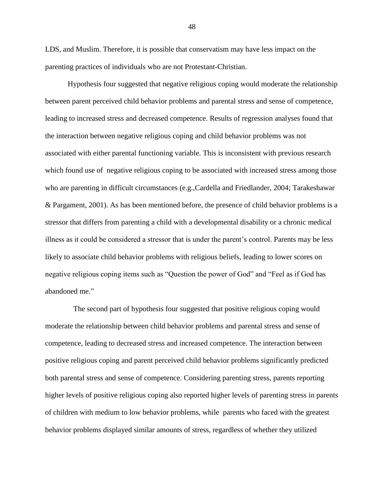LDS, and Muslim. Therefore, it is possible that conservatism may have less impact on the parenting practices of individuals who are not Protestant-Christian.

Hypothesis four suggested that negative religious coping would moderate the relationship between parent perceived child behavior problems and parental stress and sense of competence, leading to increased stress and decreased competence. Results of regression analyses found that the interaction between negative religious coping and child behavior problems was not associated with either parental functioning variable. This is inconsistent with previous research which found use of negative religious coping to be associated with increased stress among those who are parenting in difficult circumstances (e.g.,Cardella and Friedlander, 2004; Tarakeshawar & Pargament, 2001). As has been mentioned before, the presence of child behavior problems is a stressor that differs from parenting a child with a developmental disability or a chronic medical illness as it could be considered a stressor that is under the parent"s control. Parents may be less likely to associate child behavior problems with religious beliefs, leading to lower scores on negative religious coping items such as "Question the power of God" and "Feel as if God has abandoned me."

The second part of hypothesis four suggested that positive religious coping would moderate the relationship between child behavior problems and parental stress and sense of competence, leading to decreased stress and increased competence. The interaction between positive religious coping and parent perceived child behavior problems significantly predicted both parental stress and sense of competence. Considering parenting stress, parents reporting higher levels of positive religious coping also reported higher levels of parenting stress in parents of children with medium to low behavior problems, while parents who faced with the greatest behavior problems displayed similar amounts of stress, regardless of whether they utilized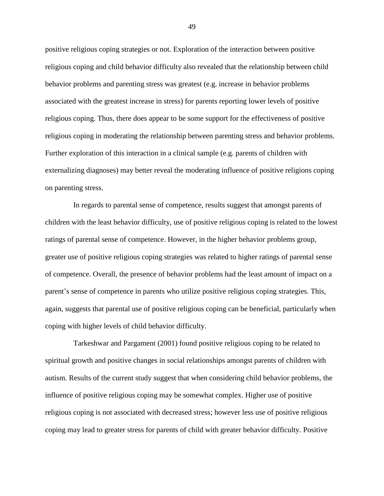positive religious coping strategies or not. Exploration of the interaction between positive religious coping and child behavior difficulty also revealed that the relationship between child behavior problems and parenting stress was greatest (e.g. increase in behavior problems associated with the greatest increase in stress) for parents reporting lower levels of positive religious coping. Thus, there does appear to be some support for the effectiveness of positive religious coping in moderating the relationship between parenting stress and behavior problems. Further exploration of this interaction in a clinical sample (e.g. parents of children with externalizing diagnoses) may better reveal the moderating influence of positive religions coping on parenting stress.

In regards to parental sense of competence, results suggest that amongst parents of children with the least behavior difficulty, use of positive religious coping is related to the lowest ratings of parental sense of competence. However, in the higher behavior problems group, greater use of positive religious coping strategies was related to higher ratings of parental sense of competence. Overall, the presence of behavior problems had the least amount of impact on a parent"s sense of competence in parents who utilize positive religious coping strategies. This, again, suggests that parental use of positive religious coping can be beneficial, particularly when coping with higher levels of child behavior difficulty.

Tarkeshwar and Pargament (2001) found positive religious coping to be related to spiritual growth and positive changes in social relationships amongst parents of children with autism. Results of the current study suggest that when considering child behavior problems, the influence of positive religious coping may be somewhat complex. Higher use of positive religious coping is not associated with decreased stress; however less use of positive religious coping may lead to greater stress for parents of child with greater behavior difficulty. Positive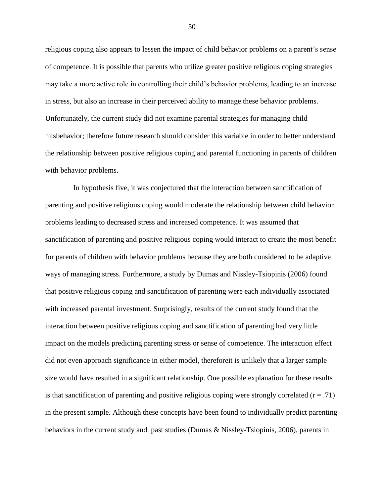religious coping also appears to lessen the impact of child behavior problems on a parent's sense of competence. It is possible that parents who utilize greater positive religious coping strategies may take a more active role in controlling their child"s behavior problems, leading to an increase in stress, but also an increase in their perceived ability to manage these behavior problems. Unfortunately, the current study did not examine parental strategies for managing child misbehavior; therefore future research should consider this variable in order to better understand the relationship between positive religious coping and parental functioning in parents of children with behavior problems.

In hypothesis five, it was conjectured that the interaction between sanctification of parenting and positive religious coping would moderate the relationship between child behavior problems leading to decreased stress and increased competence. It was assumed that sanctification of parenting and positive religious coping would interact to create the most benefit for parents of children with behavior problems because they are both considered to be adaptive ways of managing stress. Furthermore, a study by Dumas and Nissley-Tsiopinis (2006) found that positive religious coping and sanctification of parenting were each individually associated with increased parental investment. Surprisingly, results of the current study found that the interaction between positive religious coping and sanctification of parenting had very little impact on the models predicting parenting stress or sense of competence. The interaction effect did not even approach significance in either model, thereforeit is unlikely that a larger sample size would have resulted in a significant relationship. One possible explanation for these results is that sanctification of parenting and positive religious coping were strongly correlated  $(r = .71)$ in the present sample. Although these concepts have been found to individually predict parenting behaviors in the current study and past studies (Dumas & Nissley-Tsiopinis, 2006), parents in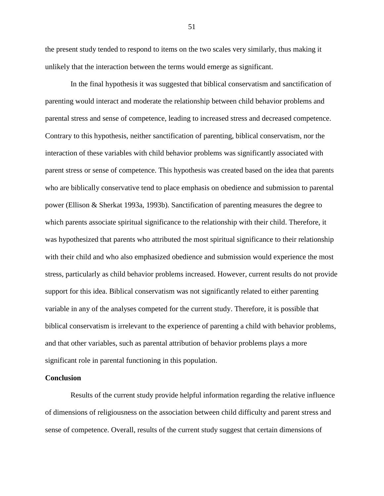the present study tended to respond to items on the two scales very similarly, thus making it unlikely that the interaction between the terms would emerge as significant.

In the final hypothesis it was suggested that biblical conservatism and sanctification of parenting would interact and moderate the relationship between child behavior problems and parental stress and sense of competence, leading to increased stress and decreased competence. Contrary to this hypothesis, neither sanctification of parenting, biblical conservatism, nor the interaction of these variables with child behavior problems was significantly associated with parent stress or sense of competence. This hypothesis was created based on the idea that parents who are biblically conservative tend to place emphasis on obedience and submission to parental power (Ellison & Sherkat 1993a, 1993b). Sanctification of parenting measures the degree to which parents associate spiritual significance to the relationship with their child. Therefore, it was hypothesized that parents who attributed the most spiritual significance to their relationship with their child and who also emphasized obedience and submission would experience the most stress, particularly as child behavior problems increased. However, current results do not provide support for this idea. Biblical conservatism was not significantly related to either parenting variable in any of the analyses competed for the current study. Therefore, it is possible that biblical conservatism is irrelevant to the experience of parenting a child with behavior problems, and that other variables, such as parental attribution of behavior problems plays a more significant role in parental functioning in this population.

### **Conclusion**

Results of the current study provide helpful information regarding the relative influence of dimensions of religiousness on the association between child difficulty and parent stress and sense of competence. Overall, results of the current study suggest that certain dimensions of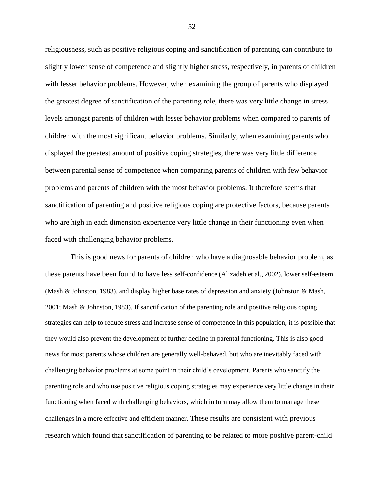religiousness, such as positive religious coping and sanctification of parenting can contribute to slightly lower sense of competence and slightly higher stress, respectively, in parents of children with lesser behavior problems. However, when examining the group of parents who displayed the greatest degree of sanctification of the parenting role, there was very little change in stress levels amongst parents of children with lesser behavior problems when compared to parents of children with the most significant behavior problems. Similarly, when examining parents who displayed the greatest amount of positive coping strategies, there was very little difference between parental sense of competence when comparing parents of children with few behavior problems and parents of children with the most behavior problems. It therefore seems that sanctification of parenting and positive religious coping are protective factors, because parents who are high in each dimension experience very little change in their functioning even when faced with challenging behavior problems.

This is good news for parents of children who have a diagnosable behavior problem, as these parents have been found to have less self-confidence (Alizadeh et al., 2002), lower self-esteem (Mash & Johnston, 1983), and display higher base rates of depression and anxiety (Johnston & Mash, 2001; Mash & Johnston, 1983). If sanctification of the parenting role and positive religious coping strategies can help to reduce stress and increase sense of competence in this population, it is possible that they would also prevent the development of further decline in parental functioning. This is also good news for most parents whose children are generally well-behaved, but who are inevitably faced with challenging behavior problems at some point in their child"s development. Parents who sanctify the parenting role and who use positive religious coping strategies may experience very little change in their functioning when faced with challenging behaviors, which in turn may allow them to manage these challenges in a more effective and efficient manner. These results are consistent with previous research which found that sanctification of parenting to be related to more positive parent-child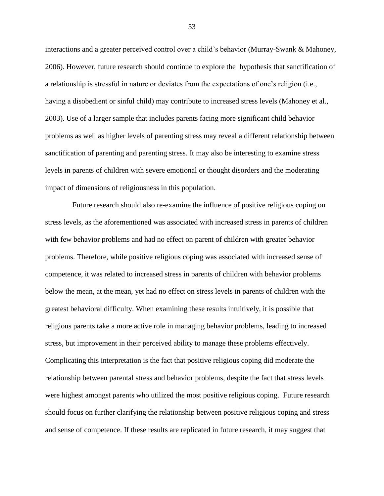interactions and a greater perceived control over a child"s behavior (Murray-Swank & Mahoney, 2006). However, future research should continue to explore the hypothesis that sanctification of a relationship is stressful in nature or deviates from the expectations of one"s religion (i.e., having a disobedient or sinful child) may contribute to increased stress levels (Mahoney et al., 2003). Use of a larger sample that includes parents facing more significant child behavior problems as well as higher levels of parenting stress may reveal a different relationship between sanctification of parenting and parenting stress. It may also be interesting to examine stress levels in parents of children with severe emotional or thought disorders and the moderating impact of dimensions of religiousness in this population.

Future research should also re-examine the influence of positive religious coping on stress levels, as the aforementioned was associated with increased stress in parents of children with few behavior problems and had no effect on parent of children with greater behavior problems. Therefore, while positive religious coping was associated with increased sense of competence, it was related to increased stress in parents of children with behavior problems below the mean, at the mean, yet had no effect on stress levels in parents of children with the greatest behavioral difficulty. When examining these results intuitively, it is possible that religious parents take a more active role in managing behavior problems, leading to increased stress, but improvement in their perceived ability to manage these problems effectively. Complicating this interpretation is the fact that positive religious coping did moderate the relationship between parental stress and behavior problems, despite the fact that stress levels were highest amongst parents who utilized the most positive religious coping. Future research should focus on further clarifying the relationship between positive religious coping and stress and sense of competence. If these results are replicated in future research, it may suggest that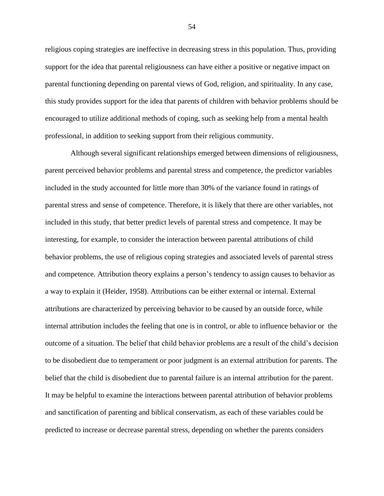religious coping strategies are ineffective in decreasing stress in this population. Thus, providing support for the idea that parental religiousness can have either a positive or negative impact on parental functioning depending on parental views of God, religion, and spirituality. In any case, this study provides support for the idea that parents of children with behavior problems should be encouraged to utilize additional methods of coping, such as seeking help from a mental health professional, in addition to seeking support from their religious community.

Although several significant relationships emerged between dimensions of religiousness, parent perceived behavior problems and parental stress and competence, the predictor variables included in the study accounted for little more than 30% of the variance found in ratings of parental stress and sense of competence. Therefore, it is likely that there are other variables, not included in this study, that better predict levels of parental stress and competence. It may be interesting, for example, to consider the interaction between parental attributions of child behavior problems, the use of religious coping strategies and associated levels of parental stress and competence. Attribution theory explains a person"s tendency to assign causes to behavior as a way to explain it (Heider, 1958). Attributions can be either external or internal. External attributions are characterized by perceiving behavior to be caused by an outside force, while internal attribution includes the feeling that one is in control, or able to influence behavior or the outcome of a situation. The belief that child behavior problems are a result of the child"s decision to be disobedient due to temperament or poor judgment is an external attribution for parents. The belief that the child is disobedient due to parental failure is an internal attribution for the parent. It may be helpful to examine the interactions between parental attribution of behavior problems and sanctification of parenting and biblical conservatism, as each of these variables could be predicted to increase or decrease parental stress, depending on whether the parents considers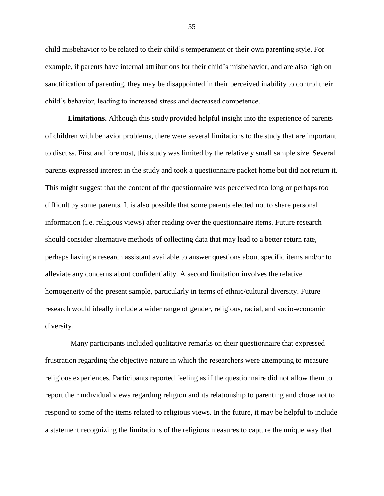child misbehavior to be related to their child"s temperament or their own parenting style. For example, if parents have internal attributions for their child"s misbehavior, and are also high on sanctification of parenting, they may be disappointed in their perceived inability to control their child"s behavior, leading to increased stress and decreased competence.

**Limitations.** Although this study provided helpful insight into the experience of parents of children with behavior problems, there were several limitations to the study that are important to discuss. First and foremost, this study was limited by the relatively small sample size. Several parents expressed interest in the study and took a questionnaire packet home but did not return it. This might suggest that the content of the questionnaire was perceived too long or perhaps too difficult by some parents. It is also possible that some parents elected not to share personal information (i.e. religious views) after reading over the questionnaire items. Future research should consider alternative methods of collecting data that may lead to a better return rate, perhaps having a research assistant available to answer questions about specific items and/or to alleviate any concerns about confidentiality. A second limitation involves the relative homogeneity of the present sample, particularly in terms of ethnic/cultural diversity. Future research would ideally include a wider range of gender, religious, racial, and socio-economic diversity.

Many participants included qualitative remarks on their questionnaire that expressed frustration regarding the objective nature in which the researchers were attempting to measure religious experiences. Participants reported feeling as if the questionnaire did not allow them to report their individual views regarding religion and its relationship to parenting and chose not to respond to some of the items related to religious views. In the future, it may be helpful to include a statement recognizing the limitations of the religious measures to capture the unique way that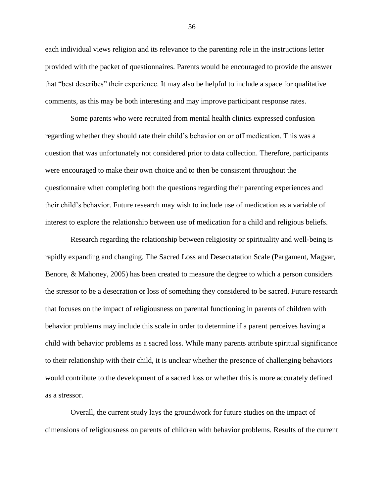each individual views religion and its relevance to the parenting role in the instructions letter provided with the packet of questionnaires. Parents would be encouraged to provide the answer that "best describes" their experience. It may also be helpful to include a space for qualitative comments, as this may be both interesting and may improve participant response rates.

Some parents who were recruited from mental health clinics expressed confusion regarding whether they should rate their child"s behavior on or off medication. This was a question that was unfortunately not considered prior to data collection. Therefore, participants were encouraged to make their own choice and to then be consistent throughout the questionnaire when completing both the questions regarding their parenting experiences and their child"s behavior. Future research may wish to include use of medication as a variable of interest to explore the relationship between use of medication for a child and religious beliefs.

Research regarding the relationship between religiosity or spirituality and well-being is rapidly expanding and changing. The Sacred Loss and Desecratation Scale (Pargament, Magyar, Benore, & Mahoney, 2005) has been created to measure the degree to which a person considers the stressor to be a desecration or loss of something they considered to be sacred. Future research that focuses on the impact of religiousness on parental functioning in parents of children with behavior problems may include this scale in order to determine if a parent perceives having a child with behavior problems as a sacred loss. While many parents attribute spiritual significance to their relationship with their child, it is unclear whether the presence of challenging behaviors would contribute to the development of a sacred loss or whether this is more accurately defined as a stressor.

Overall, the current study lays the groundwork for future studies on the impact of dimensions of religiousness on parents of children with behavior problems. Results of the current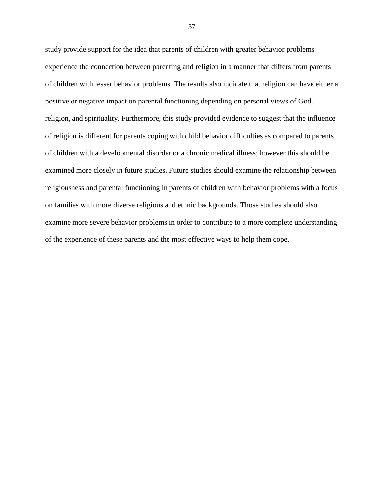study provide support for the idea that parents of children with greater behavior problems experience the connection between parenting and religion in a manner that differs from parents of children with lesser behavior problems. The results also indicate that religion can have either a positive or negative impact on parental functioning depending on personal views of God, religion, and spirituality. Furthermore, this study provided evidence to suggest that the influence of religion is different for parents coping with child behavior difficulties as compared to parents of children with a developmental disorder or a chronic medical illness; however this should be examined more closely in future studies. Future studies should examine the relationship between religiousness and parental functioning in parents of children with behavior problems with a focus on families with more diverse religious and ethnic backgrounds. Those studies should also examine more severe behavior problems in order to contribute to a more complete understanding of the experience of these parents and the most effective ways to help them cope.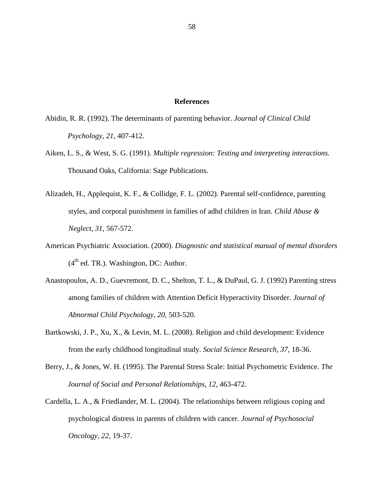# **References**

- Abidin, R. R. (1992). The determinants of parenting behavior. *Journal of Clinical Child Psychology, 21,* 407-412.
- Aiken, L. S., & West, S. G. (1991). *Multiple regression: Testing and interpreting interactions.*  Thousand Oaks, California: Sage Publications.
- Alizadeh, H., Applequist, K. F., & Collidge, F. L. (2002). Parental self-confidence, parenting styles, and corporal punishment in families of adhd children in Iran. *Child Abuse & Neglect, 31,* 567-572.
- American Psychiatric Association. (2000). *Diagnostic and statistical manual of mental disorders*   $(4<sup>th</sup>$  ed. TR.). Washington, DC: Author.
- Anastopoulos, A. D., Guevremont, D. C., Shelton, T. L., & DuPaul, G. J. (1992) Parenting stress among families of children with Attention Deficit Hyperactivity Disorder. *Journal of Abnormal Child Psychology, 20,* 503-520.
- Bartkowski, J. P., Xu, X., & Levin, M. L. (2008). Religion and child development: Evidence from the early childhood longitudinal study. *Social Science Research, 37,* 18-36.
- Berry, J., & Jones, W. H. (1995). The Parental Stress Scale: Initial Psychometric Evidence. *The Journal of Social and Personal Relationships, 12*, 463-472.
- Cardella, L. A., & Friedlander, M. L. (2004). The relationships between religious coping and psychological distress in parents of children with cancer. *Journal of Psychosocial Oncology, 22,* 19-37.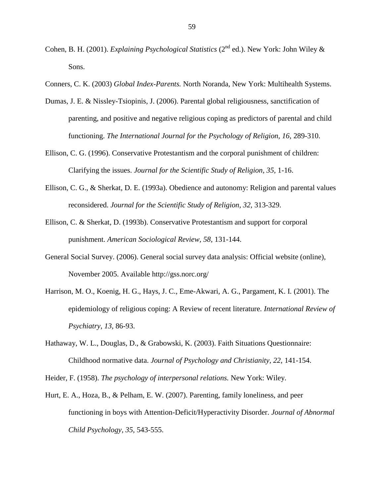- Cohen, B. H. (2001). *Explaining Psychological Statistics* (2<sup>nd</sup> ed.). New York: John Wiley & Sons.
- Conners, C. K. (2003) *Global Index-Parents.* North Noranda, New York: Multihealth Systems.
- Dumas, J. E. & Nissley-Tsiopinis, J. (2006). Parental global religiousness, sanctification of parenting, and positive and negative religious coping as predictors of parental and child functioning. *The International Journal for the Psychology of Religion, 16, 289-310.*
- Ellison, C. G. (1996). Conservative Protestantism and the corporal punishment of children: Clarifying the issues. *Journal for the Scientific Study of Religion, 35,* 1-16.
- Ellison, C. G., & Sherkat, D. E. (1993a). Obedience and autonomy: Religion and parental values reconsidered. *Journal for the Scientific Study of Religion, 32,* 313-329.
- Ellison, C. & Sherkat, D. (1993b). Conservative Protestantism and support for corporal punishment. *American Sociological Review, 58,* 131-144.
- General Social Survey. (2006). General social survey data analysis: Official website (online), November 2005. Available http://gss.norc.org/
- Harrison, M. O., Koenig, H. G., Hays, J. C., Eme-Akwari, A. G., Pargament, K. I. (2001). The epidemiology of religious coping: A Review of recent literature. *International Review of Psychiatry, 13,* 86-93.
- Hathaway, W. L., Douglas, D., & Grabowski, K. (2003). Faith Situations Questionnaire: Childhood normative data. *Journal of Psychology and Christianity, 22,* 141-154.
- Heider, F. (1958). *The psychology of interpersonal relations.* New York: Wiley.
- Hurt, E. A., Hoza, B., & Pelham, E. W. (2007). Parenting, family loneliness, and peer functioning in boys with Attention-Deficit/Hyperactivity Disorder. *Journal of Abnormal Child Psychology, 35,* 543-555.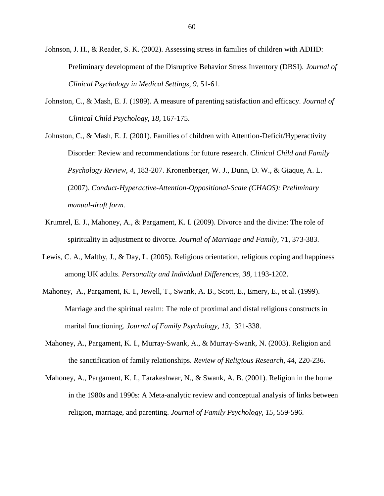Johnson, J. H., & Reader, S. K. (2002). Assessing stress in families of children with ADHD: Preliminary development of the Disruptive Behavior Stress Inventory (DBSI). *Journal of Clinical Psychology in Medical Settings, 9,* 51-61.

Johnston, C., & Mash, E. J. (1989). A measure of parenting satisfaction and efficacy. *Journal of Clinical Child Psychology, 18,* 167-175.

Johnston, C., & Mash, E. J. (2001). Families of children with Attention-Deficit/Hyperactivity Disorder: Review and recommendations for future research. *Clinical Child and Family Psychology Review, 4,* 183-207. Kronenberger, W. J., Dunn, D. W., & Giaque, A. L. (2007). *Conduct-Hyperactive-Attention-Oppositional-Scale (CHAOS): Preliminary manual-draft form.* 

- Krumrel, E. J., Mahoney, A., & Pargament, K. I. (2009). Divorce and the divine: The role of spirituality in adjustment to divorce. *Journal of Marriage and Family,* 71, 373-383.
- Lewis, C. A., Maltby, J., & Day, L. (2005). Religious orientation, religious coping and happiness among UK adults. *Personality and Individual Differences, 38,* 1193-1202.
- Mahoney, A., Pargament, K. I., Jewell, T., Swank, A. B., Scott, E., Emery, E., et al. (1999). Marriage and the spiritual realm: The role of proximal and distal religious constructs in marital functioning. *Journal of Family Psychology, 13,* 321-338.
- Mahoney, A., Pargament, K. I., Murray-Swank, A., & Murray-Swank, N. (2003). Religion and the sanctification of family relationships. *Review of Religious Research, 44,* 220-236.
- Mahoney, A., Pargament, K. I., Tarakeshwar, N., & Swank, A. B. (2001). Religion in the home in the 1980s and 1990s: A Meta-analytic review and conceptual analysis of links between religion, marriage, and parenting. *Journal of Family Psychology, 15,* 559-596.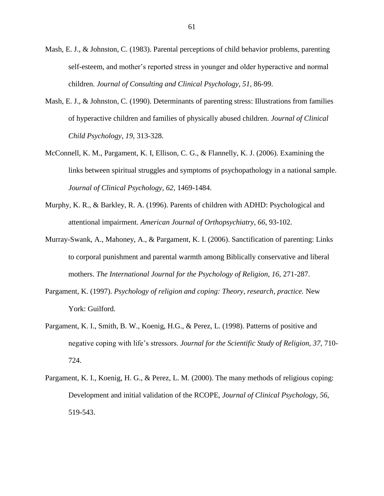- Mash, E. J., & Johnston, C. (1983). Parental perceptions of child behavior problems, parenting self-esteem, and mother"s reported stress in younger and older hyperactive and normal children. *Journal of Consulting and Clinical Psychology, 51,* 86-99.
- Mash, E. J., & Johnston, C. (1990). Determinants of parenting stress: Illustrations from families of hyperactive children and families of physically abused children. *Journal of Clinical Child Psychology, 19,* 313-328.
- McConnell, K. M., Pargament, K. I, Ellison, C. G., & Flannelly, K. J. (2006). Examining the links between spiritual struggles and symptoms of psychopathology in a national sample. *Journal of Clinical Psychology, 62,* 1469-1484.
- Murphy, K. R., & Barkley, R. A. (1996). Parents of children with ADHD: Psychological and attentional impairment. *American Journal of Orthopsychiatry, 66,* 93-102.
- Murray-Swank, A., Mahoney, A., & Pargament, K. I. (2006). Sanctification of parenting: Links to corporal punishment and parental warmth among Biblically conservative and liberal mothers. *The International Journal for the Psychology of Religion, 16, 271-287.*
- Pargament, K. (1997). *Psychology of religion and coping: Theory, research, practice.* New York: Guilford.
- Pargament, K. I., Smith, B. W., Koenig, H.G., & Perez, L. (1998). Patterns of positive and negative coping with life"s stressors. *Journal for the Scientific Study of Religion, 37,* 710- 724.
- Pargament, K. I., Koenig, H. G., & Perez, L. M. (2000). The many methods of religious coping: Development and initial validation of the RCOPE, *Journal of Clinical Psychology, 56,*  519-543.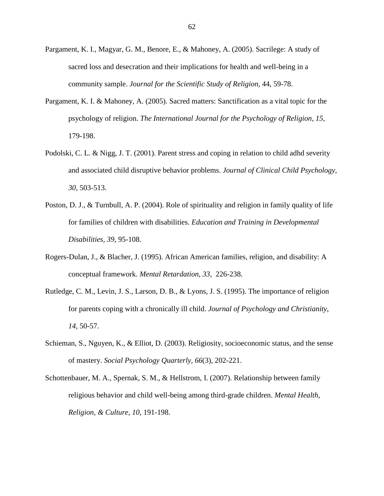- Pargament, K. I., Magyar, G. M., Benore, E., & Mahoney, A. (2005). Sacrilege: A study of sacred loss and desecration and their implications for health and well-being in a community sample. *Journal for the Scientific Study of Religion,* 44, 59-78.
- Pargament, K. I. & Mahoney, A. (2005). Sacred matters: Sanctification as a vital topic for the psychology of religion. *The International Journal for the Psychology of Religion, 15,*  179-198.
- Podolski, C. L. & Nigg, J. T. (2001). Parent stress and coping in relation to child adhd severity and associated child disruptive behavior problems. *Journal of Clinical Child Psychology, 30,* 503-513.
- Poston, D. J., & Turnbull, A. P. (2004). Role of spirituality and religion in family quality of life for families of children with disabilities. *Education and Training in Developmental Disabilities, 39,* 95-108.
- Rogers-Dulan, J., & Blacher, J. (1995). African American families, religion, and disability: A conceptual framework. *Mental Retardation, 33,* 226-238.
- Rutledge, C. M., Levin, J. S., Larson, D. B., & Lyons, J. S. (1995). The importance of religion for parents coping with a chronically ill child. *Journal of Psychology and Christianity, 14,* 50-57.
- Schieman, S., Nguyen, K., & Elliot, D. (2003). Religiosity, socioeconomic status, and the sense of mastery. *Social Psychology Quarterly, 66*(3), 202-221.
- Schottenbauer, M. A., Spernak, S. M., & Hellstrom, I. (2007). Relationship between family religious behavior and child well-being among third-grade children. *Mental Health, Religion, & Culture, 10,* 191-198.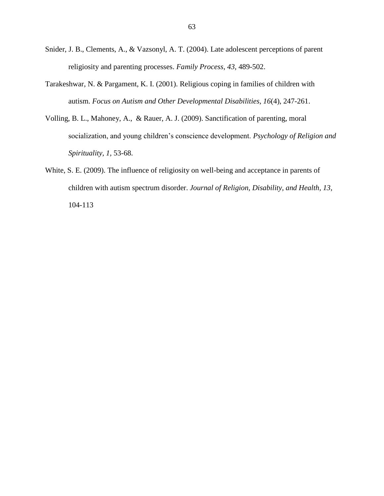- Snider, J. B., Clements, A., & Vazsonyl, A. T. (2004). Late adolescent perceptions of parent religiosity and parenting processes. *Family Process, 43,* 489-502.
- Tarakeshwar, N. & Pargament, K. I. (2001). Religious coping in families of children with autism. *Focus on Autism and Other Developmental Disabilities, 16*(4), 247-261.
- Volling, B. L., Mahoney, A., & Rauer, A. J. (2009). Sanctification of parenting, moral socialization, and young children"s conscience development. *Psychology of Religion and Spirituality, 1,* 53-68.
- White, S. E. (2009). The influence of religiosity on well-being and acceptance in parents of children with autism spectrum disorder. *Journal of Religion, Disability, and Health, 13,* 104-113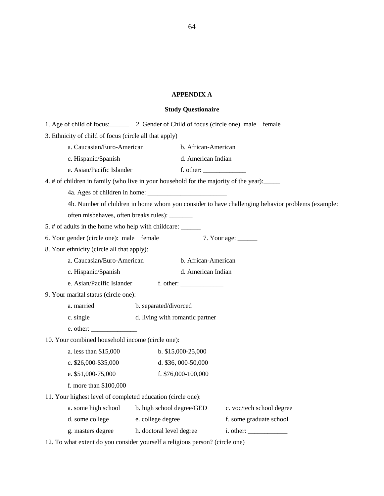### **APPENDIX A**

#### **Study Questionaire**

| 1. Age of child of focus: 2. Gender of Child of focus (circle one) male female              |                                 |                      |                                                                                                  |
|---------------------------------------------------------------------------------------------|---------------------------------|----------------------|--------------------------------------------------------------------------------------------------|
| 3. Ethnicity of child of focus (circle all that apply)                                      |                                 |                      |                                                                                                  |
| a. Caucasian/Euro-American                                                                  |                                 | b. African-American  |                                                                                                  |
| c. Hispanic/Spanish                                                                         |                                 | d. American Indian   |                                                                                                  |
| e. Asian/Pacific Islander                                                                   |                                 | f. other:            |                                                                                                  |
| 4. # of children in family (who live in your household for the majority of the year): _____ |                                 |                      |                                                                                                  |
|                                                                                             |                                 |                      |                                                                                                  |
|                                                                                             |                                 |                      | 4b. Number of children in home whom you consider to have challenging behavior problems (example: |
| often misbehaves, often breaks rules): _______                                              |                                 |                      |                                                                                                  |
|                                                                                             |                                 |                      |                                                                                                  |
| 6. Your gender (circle one): male female                                                    |                                 |                      |                                                                                                  |
| 8. Your ethnicity (circle all that apply):                                                  |                                 |                      |                                                                                                  |
| a. Caucasian/Euro-American                                                                  |                                 | b. African-American  |                                                                                                  |
| c. Hispanic/Spanish                                                                         |                                 | d. American Indian   |                                                                                                  |
|                                                                                             |                                 |                      |                                                                                                  |
| 9. Your marital status (circle one):                                                        |                                 |                      |                                                                                                  |
| a. married                                                                                  | b. separated/divorced           |                      |                                                                                                  |
| c. single                                                                                   | d. living with romantic partner |                      |                                                                                                  |
| e. other:                                                                                   |                                 |                      |                                                                                                  |
| 10. Your combined household income (circle one):                                            |                                 |                      |                                                                                                  |
| a. less than \$15,000                                                                       |                                 | $b. \$15,000-25,000$ |                                                                                                  |
| c. $$26,000 - $35,000$                                                                      |                                 | d. $$36,000-50,000$  |                                                                                                  |
| e. $$51,000-75,000$                                                                         |                                 | f. \$76,000-100,000  |                                                                                                  |
| f. more than \$100,000                                                                      |                                 |                      |                                                                                                  |
| 11. Your highest level of completed education (circle one):                                 |                                 |                      |                                                                                                  |
| a. some high school b. high school degree/GED                                               |                                 |                      | c. voc/tech school degree                                                                        |
| d. some college                                                                             | e. college degree               |                      | f. some graduate school                                                                          |
| g. masters degree h. doctoral level degree                                                  |                                 |                      | i. other:                                                                                        |
|                                                                                             |                                 |                      |                                                                                                  |

12. To what extent do you consider yourself a religious person? (circle one)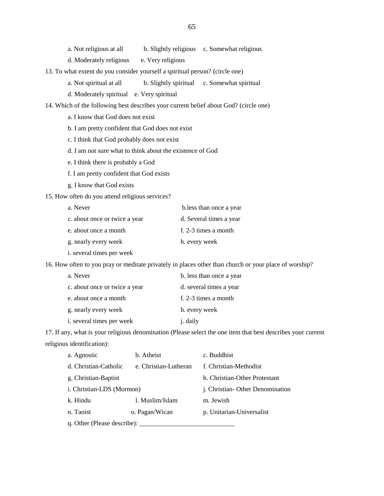| a. Not religious at all | b. Slightly religious c. Somewhat religious |
|-------------------------|---------------------------------------------|
|                         |                                             |

- d. Moderately religious e. Very religious
- 13. To what extent do you consider yourself a spiritual person? (circle one)
	- a. Not spiritual at all b. Slightly spiritual c. Somewhat spiritual
	- d. Moderately spiritual e. Very spiritual
- 14. Which of the following best describes your current belief about God? (circle one)
	- a. I know that God does not exist
	- b. I am pretty confident that God does not exist
	- c. I think that God probably does not exist
	- d. I am not sure what to think about the existence of God
	- e. I think there is probably a God
	- f. I am pretty confident that God exists
	- g. I know that God exists
- 15. How often do you attend religious services?

| a. Never                          | b.less than once a year |
|-----------------------------------|-------------------------|
| c. about once or twice a year     | d. Several times a year |
| e. about once a month             | f. 2-3 times a month    |
| g. nearly every week              | h. every week           |
| <i>i</i> . several times per week |                         |

16. How often to you pray or meditate privately in places other than church or your place of worship?

| a. Never                      | b. less than once a year |
|-------------------------------|--------------------------|
| c. about once or twice a year | d. several times a year  |
| e. about once a month         | f. 2-3 times a month     |
| g. nearly every week          | h. every week            |
| i. several times per week     | j. daily                 |
|                               |                          |

17. If any, what is your religious denomination (Please select the one item that best describes your current religious identification):

| a. Agnostic                 | b. Atheist            | c. Buddhist                     |
|-----------------------------|-----------------------|---------------------------------|
| d. Christian-Catholic       | e. Christian-Lutheran | f. Christian-Methodist          |
| g. Christian-Baptist        |                       | h. Christian-Other Protestant   |
| i. Christian-LDS (Mormon)   |                       | j. Christian-Other Denomination |
| k. Hindu                    | 1. Muslim/Islam       | m. Jewish                       |
| n. Taoist                   | o. Pagan/Wican        | p. Unitarian-Universalist       |
| q. Other (Please describe): |                       |                                 |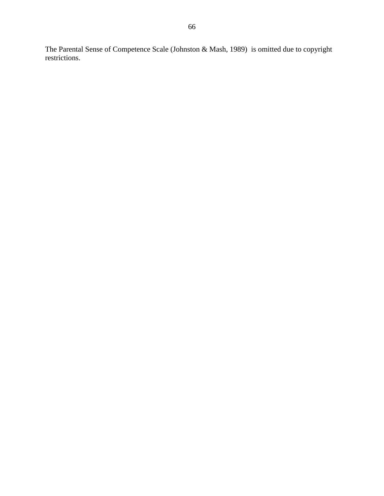The Parental Sense of Competence Scale (Johnston & Mash, 1989) is omitted due to copyright restrictions.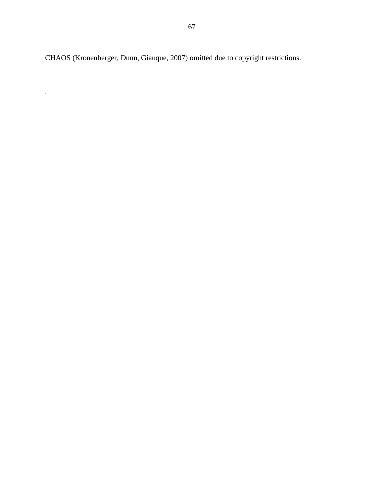CHAOS (Kronenberger, Dunn, Giauque, 2007) omitted due to copyright restrictions.

.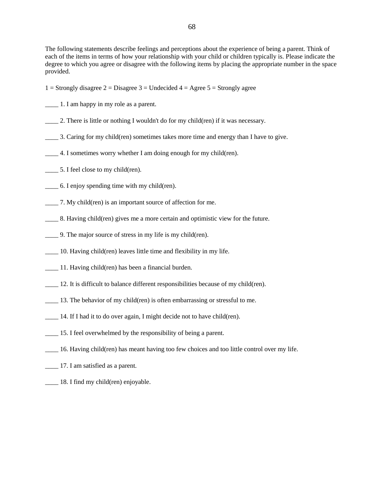68

The following statements describe feelings and perceptions about the experience of being a parent. Think of each of the items in terms of how your relationship with your child or children typically is. Please indicate the degree to which you agree or disagree with the following items by placing the appropriate number in the space provided.

- 1 = Strongly disagree 2 = Disagree 3 = Undecided  $4 = \text{Agree } 5 = \text{Strongly agree}$
- \_\_\_\_ 1. I am happy in my role as a parent.
- \_\_\_\_ 2. There is little or nothing I wouldn't do for my child(ren) if it was necessary.
- \_\_\_\_ 3. Caring for my child(ren) sometimes takes more time and energy than I have to give.
- \_\_\_\_ 4. I sometimes worry whether I am doing enough for my child(ren).
- \_\_\_\_ 5. I feel close to my child(ren).
- \_\_\_\_ 6. I enjoy spending time with my child(ren).
- \_\_\_\_ 7. My child(ren) is an important source of affection for me.
- \_\_\_\_ 8. Having child(ren) gives me a more certain and optimistic view for the future.
- \_\_\_\_ 9. The major source of stress in my life is my child(ren).
- \_\_\_\_ 10. Having child(ren) leaves little time and flexibility in my life.
- \_\_\_\_ 11. Having child(ren) has been a financial burden.
- \_\_\_\_ 12. It is difficult to balance different responsibilities because of my child(ren).
- 13. The behavior of my child(ren) is often embarrassing or stressful to me.
- \_\_\_\_ 14. If I had it to do over again, I might decide not to have child(ren).
- \_\_\_\_ 15. I feel overwhelmed by the responsibility of being a parent.
- \_\_\_\_ 16. Having child(ren) has meant having too few choices and too little control over my life.
- \_\_\_\_ 17. I am satisfied as a parent.
- \_\_\_\_ 18. I find my child(ren) enjoyable.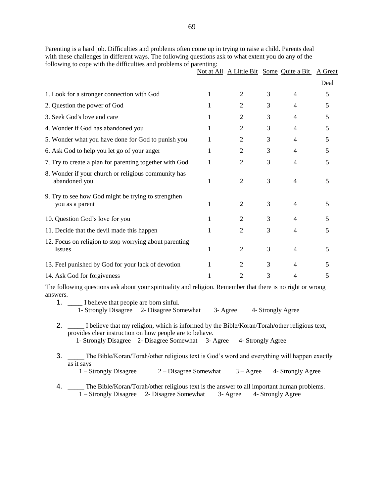Parenting is a hard job. Difficulties and problems often come up in trying to raise a child. Parents deal with these challenges in different ways. The following questions ask to what extent you do any of the following to cope with the difficulties and problems of parenting:

|                                                                         | Not at All A Little Bit Some Quite a Bit |   |   | A Great |
|-------------------------------------------------------------------------|------------------------------------------|---|---|---------|
|                                                                         |                                          |   |   | Deal    |
| 1. Look for a stronger connection with God                              | 2                                        | 3 | 4 | 5       |
| 2. Question the power of God                                            | 2                                        | 3 | 4 | 5       |
| 3. Seek God's love and care                                             | 2                                        | 3 | 4 | 5       |
| 4. Wonder if God has abandoned you                                      | 2                                        | 3 | 4 | 5       |
| 5. Wonder what you have done for God to punish you                      | 2                                        | 3 | 4 | 5       |
| 6. Ask God to help you let go of your anger                             | 2                                        | 3 | 4 | 5       |
| 7. Try to create a plan for parenting together with God                 | 2                                        | 3 | 4 | 5       |
| 8. Wonder if your church or religious community has<br>abandoned you    | $\mathfrak{D}$                           | 3 | 4 | 5.      |
| 9. Try to see how God might be trying to strengthen<br>you as a parent  | 2                                        | 3 | 4 | 5.      |
| 10. Question God's love for you                                         | 2                                        | 3 | 4 |         |
| 11. Decide that the devil made this happen                              | 2                                        | 3 | 4 | 5       |
| 12. Focus on religion to stop worrying about parenting<br><b>Issues</b> | $\overline{2}$                           | 3 | 4 | 5.      |
| 13. Feel punished by God for your lack of devotion                      | 2                                        | 3 | 4 |         |
| 14. Ask God for forgiveness                                             | 2                                        | 3 | 4 | 5       |

The following questions ask about your spirituality and religion. Remember that there is no right or wrong answers.

| 1. I believe that people are born sinful.               |                                                    |          |                                                                                                 |  |
|---------------------------------------------------------|----------------------------------------------------|----------|-------------------------------------------------------------------------------------------------|--|
|                                                         | 1- Strongly Disagree 2- Disagree Somewhat          | 3- Agree | 4- Strongly Agree                                                                               |  |
| provides clear instruction on how people are to behave. |                                                    |          | 2. I believe that my religion, which is informed by the Bible/Koran/Torah/other religious text, |  |
|                                                         | 1- Strongly Disagree 2- Disagree Somewhat 3- Agree |          | 4- Strongly Agree                                                                               |  |
|                                                         |                                                    |          | The Bible/Koran/Torah/other religious text is God's word and everything will happen exactly     |  |

- as it says 1 – Strongly Disagree 2 – Disagree Somewhat 3 – Agree 4- Strongly Agree
	-
- 4. \_\_\_\_\_ The Bible/Koran/Torah/other religious text is the answer to all important human problems. 1 – Strongly Disagree 2- Disagree Somewhat 3- Agree 4- Strongly Agree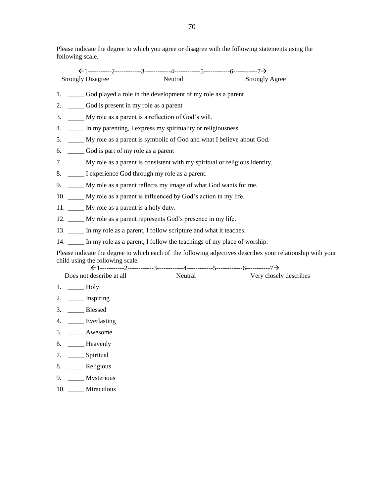Please indicate the degree to which you agree or disagree with the following statements using the following scale.

 1-----------2------------3------------4------------5------------6-----------7 Strongly Disagree Neutral Strongly Agree 1. \_\_\_\_\_ God played a role in the development of my role as a parent 2. \_\_\_\_\_ God is present in my role as a parent 3. \_\_\_\_\_ My role as a parent is a reflection of God"s will. 4. \_\_\_\_\_ In my parenting, I express my spirituality or religiousness. 5. \_\_\_\_\_ My role as a parent is symbolic of God and what I believe about God. 6. \_\_\_\_\_ God is part of my role as a parent 7. \_\_\_\_\_ My role as a parent is consistent with my spiritual or religious identity. 8. \_\_\_\_\_ I experience God through my role as a parent.

- 9. \_\_\_\_\_ My role as a parent reflects my image of what God wants for me.
- 10. My role as a parent is influenced by God's action in my life.
- 11. \_\_\_\_\_ My role as a parent is a holy duty.
- 12. My role as a parent represents God's presence in my life.
- 13. \_\_\_\_\_ In my role as a parent, I follow scripture and what it teaches.
- 14. In my role as a parent, I follow the teachings of my place of worship.

Please indicate the degree to which each of the following adjectives describes your relationship with your child using the following scale.

| Does not describe at all | Neutral | Very closely describes |
|--------------------------|---------|------------------------|

- 1. \_\_\_\_\_ Holy
- 2. \_\_\_\_\_\_\_ Inspiring
- 3. \_\_\_\_\_ Blessed
- 4. \_\_\_\_\_ Everlasting
- 5. \_\_\_\_\_ Awesome
- 6. \_\_\_\_\_ Heavenly
- 7. \_\_\_\_\_ Spiritual
- 8. \_\_\_\_\_ Religious
- 9. \_\_\_\_\_ Mysterious
- 10. \_\_\_\_\_ Miraculous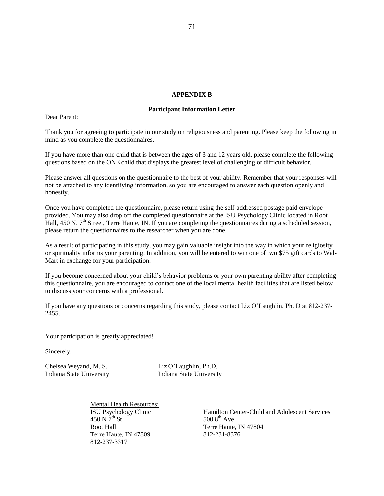#### **APPENDIX B**

#### **Participant Information Letter**

Dear Parent:

Thank you for agreeing to participate in our study on religiousness and parenting. Please keep the following in mind as you complete the questionnaires.

If you have more than one child that is between the ages of 3 and 12 years old, please complete the following questions based on the ONE child that displays the greatest level of challenging or difficult behavior.

Please answer all questions on the questionnaire to the best of your ability. Remember that your responses will not be attached to any identifying information, so you are encouraged to answer each question openly and honestly.

Once you have completed the questionnaire, please return using the self-addressed postage paid envelope provided. You may also drop off the completed questionnaire at the ISU Psychology Clinic located in Root Hall, 450 N.  $7<sup>th</sup>$  Street, Terre Haute, IN. If you are completing the questionnaires during a scheduled session, please return the questionnaires to the researcher when you are done.

As a result of participating in this study, you may gain valuable insight into the way in which your religiosity or spirituality informs your parenting. In addition, you will be entered to win one of two \$75 gift cards to Wal-Mart in exchange for your participation.

If you become concerned about your child"s behavior problems or your own parenting ability after completing this questionnaire, you are encouraged to contact one of the local mental health facilities that are listed below to discuss your concerns with a professional.

If you have any questions or concerns regarding this study, please contact Liz O"Laughlin, Ph. D at 812-237- 2455.

Your participation is greatly appreciated!

Sincerely,

Chelsea Weyand, M. S. Liz O"Laughlin, Ph.D.

Indiana State University Indiana State University

Mental Health Resources:<br>ISU Psychology Clinic  $450 \text{ N } 7^{\text{th}}$  St  $500 \text{ 8}^{\text{th}}$  Ave Root Hall Terre Haute, IN 47804 Terre Haute, IN 47809 812-231-8376 812-237-3317

Hamilton Center-Child and Adolescent Services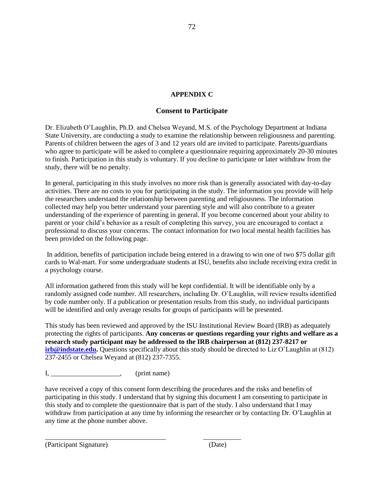### **APPENDIX C**

#### **Consent to Participate**

Dr. Elizabeth O"Laughlin, Ph.D. and Chelsea Weyand, M.S. of the Psychology Department at Indiana State University, are conducting a study to examine the relationship between religiousness and parenting. Parents of children between the ages of 3 and 12 years old are invited to participate. Parents/guardians who agree to participate will be asked to complete a questionnaire requiring approximately 20-30 minutes to finish. Participation in this study is voluntary. If you decline to participate or later withdraw from the study, there will be no penalty.

In general, participating in this study involves no more risk than is generally associated with day-to-day activities. There are no costs to you for participating in the study. The information you provide will help the researchers understand the relationship between parenting and religiousness. The information collected may help you better understand your parenting style and will also contribute to a greater understanding of the experience of parenting in general. If you become concerned about your ability to parent or your child"s behavior as a result of completing this survey, you are encouraged to contact a professional to discuss your concerns. The contact information for two local mental health facilities has been provided on the following page.

In addition, benefits of participation include being entered in a drawing to win one of two \$75 dollar gift cards to Wal-mart. For some undergraduate students at ISU, benefits also include receiving extra credit in a psychology course.

All information gathered from this study will be kept confidential. It will be identifiable only by a randomly assigned code number. All researchers, including Dr. O"Laughlin, will review results identified by code number only. If a publication or presentation results from this study, no individual participants will be identified and only average results for groups of participants will be presented.

This study has been reviewed and approved by the ISU Institutional Review Board (IRB) as adequately protecting the rights of participants. **Any concerns or questions regarding your rights and welfare as a research study participant may be addressed to the IRB chairperson at (812) 237-8217 or [irb@indstate.edu.](mailto:irb@indstate.edu)** Questions specifically about this study should be directed to Liz O'Laughlin at (812) 237-2455 or Chelsea Weyand at (812) 237-7355.

I, (print name)

\_\_\_\_\_\_\_\_\_\_\_\_\_\_\_\_\_\_\_\_\_\_\_\_\_\_\_\_\_\_\_\_\_\_\_ \_\_\_\_\_\_\_\_\_\_\_

have received a copy of this consent form describing the procedures and the risks and benefits of participating in this study. I understand that by signing this document I am consenting to participate in this study and to complete the questionnaire that is part of the study. I also understand that I may withdraw from participation at any time by informing the researcher or by contacting Dr. O"Laughlin at any time at the phone number above.

(Participant Signature) (Date)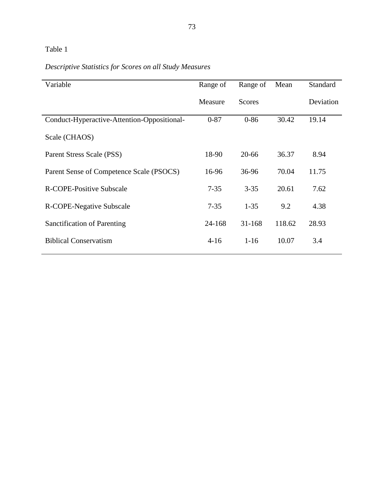*Descriptive Statistics for Scores on all Study Measures* 

| Variable                                    | Range of | Range of      | Mean   | Standard  |
|---------------------------------------------|----------|---------------|--------|-----------|
|                                             | Measure  | <b>Scores</b> |        | Deviation |
| Conduct-Hyperactive-Attention-Oppositional- | $0 - 87$ | $0 - 86$      | 30.42  | 19.14     |
| Scale (CHAOS)                               |          |               |        |           |
| Parent Stress Scale (PSS)                   | 18-90    | 20-66         | 36.37  | 8.94      |
| Parent Sense of Competence Scale (PSOCS)    | 16-96    | 36-96         | 70.04  | 11.75     |
| R-COPE-Positive Subscale                    | $7 - 35$ | $3 - 35$      | 20.61  | 7.62      |
| R-COPE-Negative Subscale                    | $7 - 35$ | $1 - 35$      | 9.2    | 4.38      |
| Sanctification of Parenting                 | 24-168   | 31-168        | 118.62 | 28.93     |
| <b>Biblical Conservatism</b>                | $4-16$   | $1 - 16$      | 10.07  | 3.4       |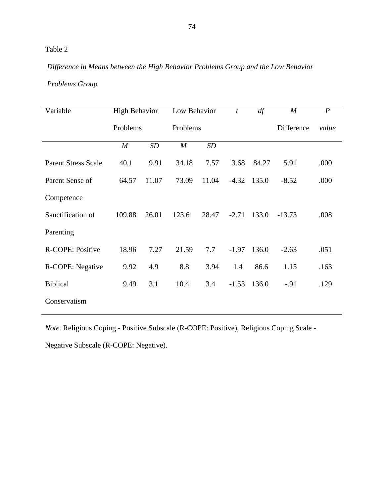# *Difference in Means between the High Behavior Problems Group and the Low Behavior*

## *Problems Group*

| Variable                   | <b>High Behavior</b> |       | Low Behavior     |          | $\boldsymbol{t}$ | df    | $\boldsymbol{M}$ | $\boldsymbol{P}$ |            |       |
|----------------------------|----------------------|-------|------------------|----------|------------------|-------|------------------|------------------|------------|-------|
|                            | Problems             |       |                  | Problems |                  |       |                  |                  | Difference | value |
|                            | $\boldsymbol{M}$     | SD    | $\boldsymbol{M}$ | SD       |                  |       |                  |                  |            |       |
| <b>Parent Stress Scale</b> | 40.1                 | 9.91  | 34.18            | 7.57     | 3.68             | 84.27 | 5.91             | .000             |            |       |
| Parent Sense of            | 64.57                | 11.07 | 73.09            | 11.04    | $-4.32$          | 135.0 | $-8.52$          | .000             |            |       |
| Competence                 |                      |       |                  |          |                  |       |                  |                  |            |       |
| Sanctification of          | 109.88               | 26.01 | 123.6            | 28.47    | $-2.71$          | 133.0 | $-13.73$         | .008             |            |       |
| Parenting                  |                      |       |                  |          |                  |       |                  |                  |            |       |
| R-COPE: Positive           | 18.96                | 7.27  | 21.59            | 7.7      | $-1.97$          | 136.0 | $-2.63$          | .051             |            |       |
| R-COPE: Negative           | 9.92                 | 4.9   | 8.8              | 3.94     | 1.4              | 86.6  | 1.15             | .163             |            |       |
| <b>Biblical</b>            | 9.49                 | 3.1   | 10.4             | 3.4      | $-1.53$          | 136.0 | $-.91$           | .129             |            |       |
| Conservatism               |                      |       |                  |          |                  |       |                  |                  |            |       |

*Note.* Religious Coping - Positive Subscale (R-COPE: Positive), Religious Coping Scale -

Negative Subscale (R-COPE: Negative).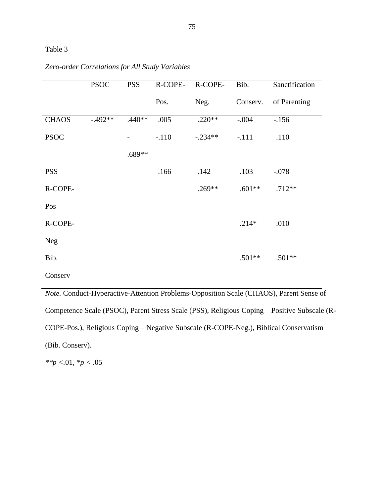|              | <b>PSOC</b> | <b>PSS</b> | R-COPE- | R-COPE-   | Bib.     | Sanctification |
|--------------|-------------|------------|---------|-----------|----------|----------------|
|              |             |            | Pos.    | Neg.      | Conserv. | of Parenting   |
| <b>CHAOS</b> | $-.492**$   | $.440**$   | .005    | $.220**$  | $-.004$  | $-156$         |
| <b>PSOC</b>  |             |            | $-.110$ | $-.234**$ | $-.111$  | .110           |
|              |             | .689**     |         |           |          |                |
| <b>PSS</b>   |             |            | .166    | .142      | .103     | $-.078$        |
| R-COPE-      |             |            |         | $.269**$  | $.601**$ | $.712**$       |
| Pos          |             |            |         |           |          |                |
| R-COPE-      |             |            |         |           | $.214*$  | .010           |
| <b>Neg</b>   |             |            |         |           |          |                |
| Bib.         |             |            |         |           | $.501**$ | $.501**$       |
| Conserv      |             |            |         |           |          |                |

## *Zero-order Correlations for All Study Variables*

*Note.* Conduct-Hyperactive-Attention Problems-Opposition Scale (CHAOS), Parent Sense of Competence Scale (PSOC), Parent Stress Scale (PSS), Religious Coping – Positive Subscale (R-COPE-Pos.), Religious Coping – Negative Subscale (R-COPE-Neg.), Biblical Conservatism (Bib. Conserv).

*\*\*p <.*01*, \*p <* .05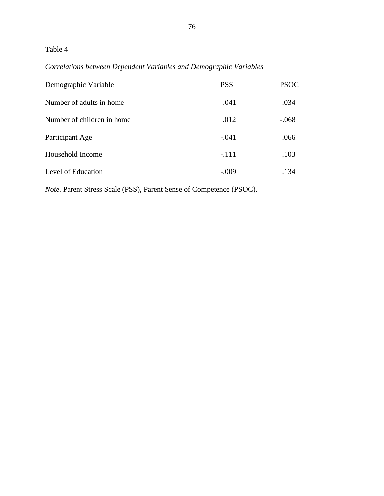# *Correlations between Dependent Variables and Demographic Variables*

| Demographic Variable       | <b>PSS</b> | <b>PSOC</b> |  |
|----------------------------|------------|-------------|--|
| Number of adults in home   | $-.041$    | .034        |  |
| Number of children in home | .012       | $-.068$     |  |
| Participant Age            | $-.041$    | .066        |  |
| Household Income           | $-.111$    | .103        |  |
| Level of Education         | $-.009$    | .134        |  |

*Note.* Parent Stress Scale (PSS), Parent Sense of Competence (PSOC).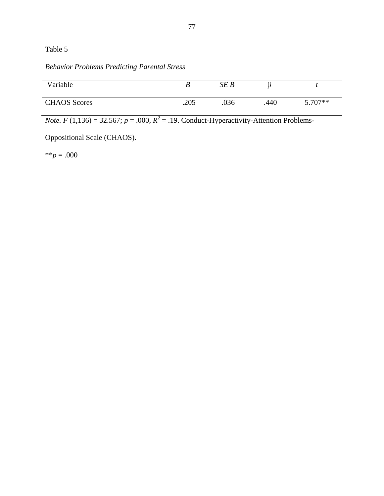# *Behavior Problems Predicting Parental Stress*

| Variable            |      | SE B |      |         |
|---------------------|------|------|------|---------|
| <b>CHAOS</b> Scores | .205 | .036 | .440 | 5.707** |

*Note.*  $F(1,136) = 32.567$ ;  $p = .000$ ,  $R^2 = .19$ . Conduct-Hyperactivity-Attention Problems-

Oppositional Scale (CHAOS).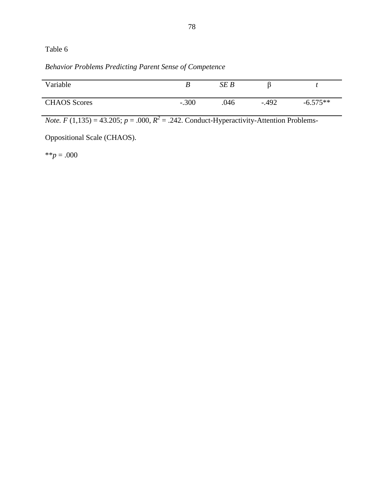*Behavior Problems Predicting Parent Sense of Competence*

| Variable            |         | SE B |         |            |
|---------------------|---------|------|---------|------------|
| <b>CHAOS</b> Scores | $-.300$ | .046 | $-.492$ | $-6.575**$ |

*Note.*  $F(1,135) = 43.205$ ;  $p = .000$ ,  $R^2 = .242$ . Conduct-Hyperactivity-Attention Problems-

Oppositional Scale (CHAOS).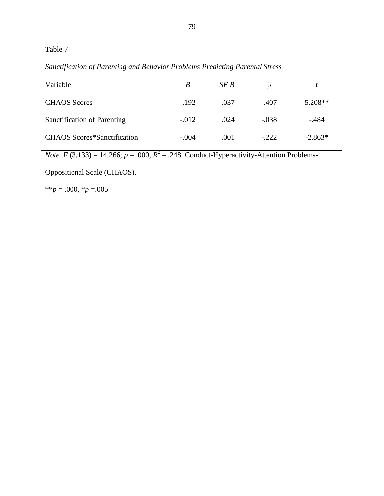*Sanctification of Parenting and Behavior Problems Predicting Parental Stress*

| Variable                           | B       | SE B |         |           |
|------------------------------------|---------|------|---------|-----------|
| <b>CHAOS</b> Scores                | .192    | .037 | .407    | $5.208**$ |
| Sanctification of Parenting        | $-.012$ | .024 | $-.038$ | $-.484$   |
| <b>CHAOS</b> Scores*Sanctification | $-.004$ | .001 | $-.222$ | $-2.863*$ |

*Note.*  $F(3,133) = 14.266$ ;  $p = .000$ ,  $R^2 = .248$ . Conduct-Hyperactivity-Attention Problems-

Oppositional Scale (CHAOS).

 $*$ *\*p* = .000, *\*p* = .005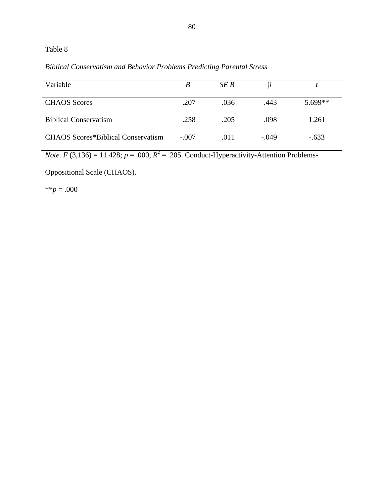*Biblical Conservatism and Behavior Problems Predicting Parental Stress*

| Variable                                  | B       | SE B |         |           |
|-------------------------------------------|---------|------|---------|-----------|
| <b>CHAOS</b> Scores                       | .207    | .036 | .443    | $5.699**$ |
| <b>Biblical Conservatism</b>              | .258    | .205 | .098    | 1.261     |
| <b>CHAOS Scores*Biblical Conservatism</b> | $-.007$ | .011 | $-.049$ | $-.633$   |

*Note.*  $F(3,136) = 11.428$ ;  $p = .000$ ,  $R^2 = .205$ . Conduct-Hyperactivity-Attention Problems-

Oppositional Scale (CHAOS).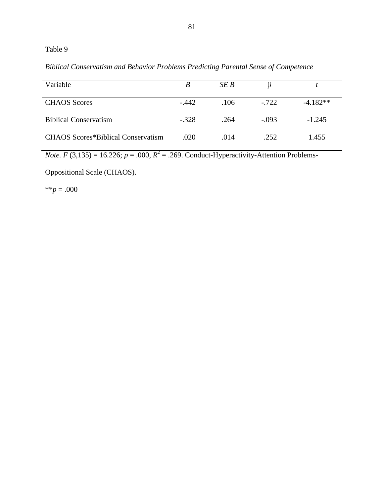*Biblical Conservatism and Behavior Problems Predicting Parental Sense of Competence*

| Variable                                  | B       | SE B |         |            |
|-------------------------------------------|---------|------|---------|------------|
| <b>CHAOS</b> Scores                       | $-.442$ | .106 | $-722$  | $-4.182**$ |
| <b>Biblical Conservatism</b>              | $-.328$ | .264 | $-.093$ | $-1.245$   |
| <b>CHAOS Scores*Biblical Conservatism</b> | .020    | .014 | .252    | 1.455      |

*Note.*  $F(3,135) = 16.226$ ;  $p = .000$ ,  $R^2 = .269$ . Conduct-Hyperactivity-Attention Problems-

Oppositional Scale (CHAOS).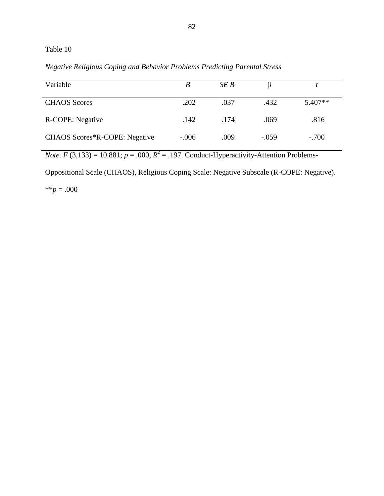*Negative Religious Coping and Behavior Problems Predicting Parental Stress*

| Variable                             | B       | SE B |         |           |
|--------------------------------------|---------|------|---------|-----------|
| <b>CHAOS</b> Scores                  | .202    | .037 | .432    | $5.407**$ |
| R-COPE: Negative                     | .142    | 174  | .069    | .816      |
| <b>CHAOS Scores*R-COPE: Negative</b> | $-.006$ | .009 | $-.059$ | $-.700$   |

*Note.*  $F(3,133) = 10.881$ ;  $p = .000$ ,  $R^2 = .197$ . Conduct-Hyperactivity-Attention Problems-

Oppositional Scale (CHAOS), Religious Coping Scale: Negative Subscale (R-COPE: Negative).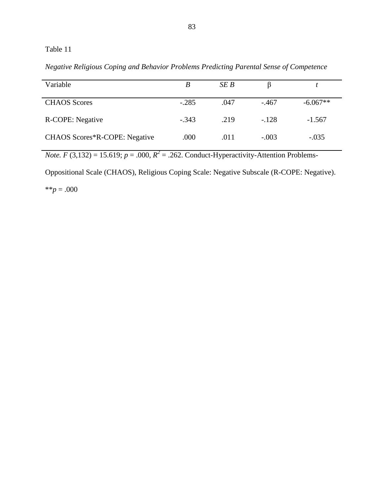*Negative Religious Coping and Behavior Problems Predicting Parental Sense of Competence*

| Variable                      | B       | SE B |         |            |
|-------------------------------|---------|------|---------|------------|
| <b>CHAOS</b> Scores           | $-.285$ | .047 | $-.467$ | $-6.067**$ |
| R-COPE: Negative              | $-.343$ | .219 | $-.128$ | $-1.567$   |
| CHAOS Scores*R-COPE: Negative | .000    | .011 | $-.003$ | $-.035$    |

*Note.*  $F(3,132) = 15.619$ ;  $p = .000$ ,  $R^2 = .262$ . Conduct-Hyperactivity-Attention Problems-

Oppositional Scale (CHAOS), Religious Coping Scale: Negative Subscale (R-COPE: Negative).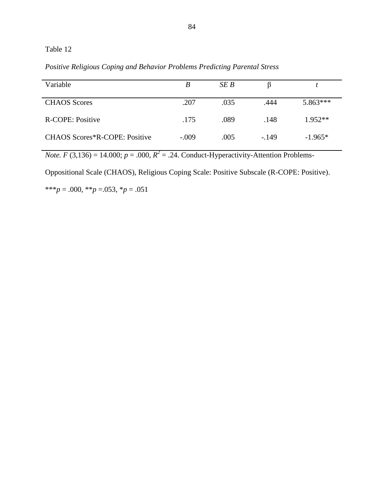*Positive Religious Coping and Behavior Problems Predicting Parental Stress*

| Variable                      | B       | SE B | B      |            |
|-------------------------------|---------|------|--------|------------|
| <b>CHAOS</b> Scores           | .207    | .035 | .444   | $5.863***$ |
| R-COPE: Positive              | .175    | .089 | .148   | $1.952**$  |
| CHAOS Scores*R-COPE: Positive | $-.009$ | .005 | $-149$ | $-1.965*$  |

*Note.*  $F(3,136) = 14.000$ ;  $p = .000$ ,  $R^2 = .24$ . Conduct-Hyperactivity-Attention Problems-

Oppositional Scale (CHAOS), Religious Coping Scale: Positive Subscale (R-COPE: Positive).

\*\*\**p* = .000, \*\**p* = .053, \**p* = .051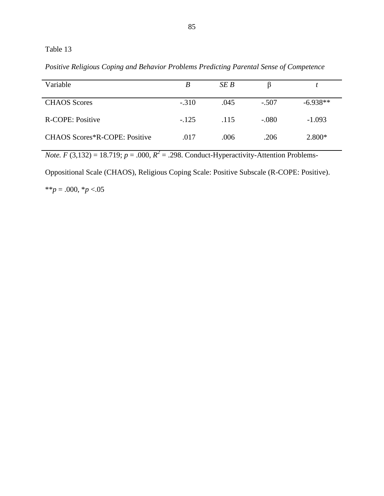*Positive Religious Coping and Behavior Problems Predicting Parental Sense of Competence*

| Variable                      | B       | SE B |         |            |
|-------------------------------|---------|------|---------|------------|
| <b>CHAOS</b> Scores           | $-.310$ | .045 | $-.507$ | $-6.938**$ |
| R-COPE: Positive              | $-.125$ | .115 | $-.080$ | $-1.093$   |
| CHAOS Scores*R-COPE: Positive | .017    | .006 | .206    | $2.800*$   |

*Note.*  $F(3,132) = 18.719$ ;  $p = .000$ ,  $R^2 = .298$ . Conduct-Hyperactivity-Attention Problems-

Oppositional Scale (CHAOS), Religious Coping Scale: Positive Subscale (R-COPE: Positive).

\*\**p* = .000, \**p* <.05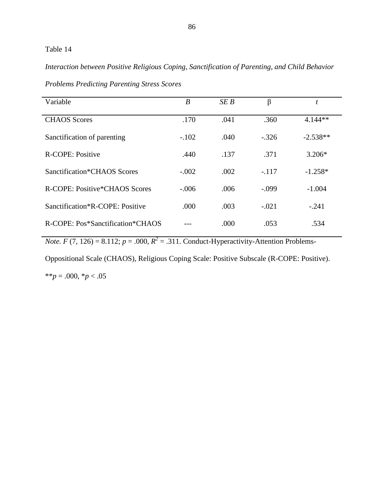*Interaction between Positive Religious Coping, Sanctification of Parenting, and Child Behavior* 

| Variable                         | $\boldsymbol{B}$ | SEB  | β       | t          |
|----------------------------------|------------------|------|---------|------------|
| <b>CHAOS</b> Scores              | .170             | .041 | .360    | $4.144**$  |
| Sanctification of parenting      | $-.102$          | .040 | $-.326$ | $-2.538**$ |
| <b>R-COPE: Positive</b>          | .440             | .137 | .371    | $3.206*$   |
| Sanctification*CHAOS Scores      | $-.002$          | .002 | $-.117$ | $-1.258*$  |
| R-COPE: Positive*CHAOS Scores    | $-.006$          | .006 | $-.099$ | $-1.004$   |
| Sanctification*R-COPE: Positive  | .000             | .003 | $-.021$ | $-.241$    |
| R-COPE: Pos*Sanctification*CHAOS |                  | .000 | .053    | .534       |

*Problems Predicting Parenting Stress Scores* 

*Note.*  $F(7, 126) = 8.112$ ;  $p = .000$ ,  $R^2 = .311$ . Conduct-Hyperactivity-Attention Problems-

Oppositional Scale (CHAOS), Religious Coping Scale: Positive Subscale (R-COPE: Positive). \*\* $p = .000, *p < .05$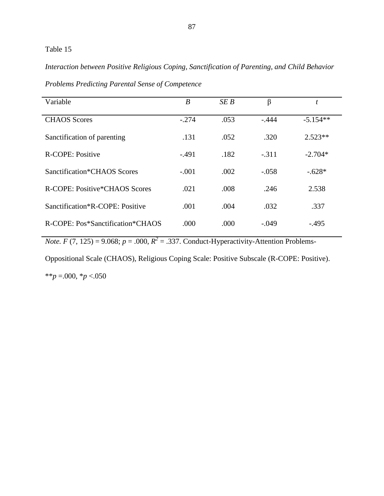*Interaction between Positive Religious Coping, Sanctification of Parenting, and Child Behavior* 

| Variable                         | $\boldsymbol{B}$ | SEB  | β       | t          |
|----------------------------------|------------------|------|---------|------------|
| <b>CHAOS</b> Scores              | $-.274$          | .053 | $-.444$ | $-5.154**$ |
| Sanctification of parenting      | .131             | .052 | .320    | $2.523**$  |
| R-COPE: Positive                 | $-.491$          | .182 | $-.311$ | $-2.704*$  |
| Sanctification*CHAOS Scores      | $-.001$          | .002 | $-.058$ | $-.628*$   |
| R-COPE: Positive*CHAOS Scores    | .021             | .008 | .246    | 2.538      |
| Sanctification*R-COPE: Positive  | .001             | .004 | .032    | .337       |
| R-COPE: Pos*Sanctification*CHAOS | .000             | .000 | $-.049$ | $-.495$    |

*Problems Predicting Parental Sense of Competence*

*Note.*  $F(7, 125) = 9.068$ ;  $p = .000$ ,  $R^2 = .337$ . Conduct-Hyperactivity-Attention Problems-

Oppositional Scale (CHAOS), Religious Coping Scale: Positive Subscale (R-COPE: Positive). \*\**p* =.000, \**p* <.050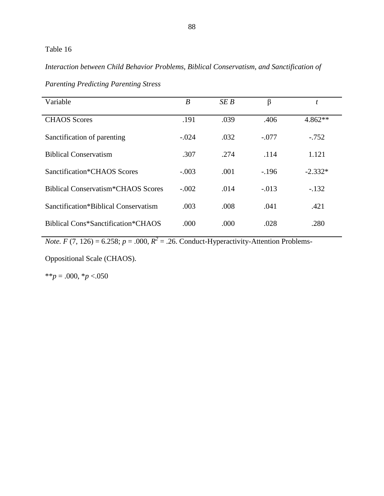*Interaction between Child Behavior Problems, Biblical Conservatism, and Sanctification of* 

| Variable                                        | $\boldsymbol{B}$ | SEB  | β       | t         |
|-------------------------------------------------|------------------|------|---------|-----------|
| <b>CHAOS</b> Scores                             | .191             | .039 | .406    | $4.862**$ |
| Sanctification of parenting                     | $-.024$          | .032 | $-.077$ | $-.752$   |
| <b>Biblical Conservatism</b>                    | .307             | .274 | .114    | 1.121     |
| Sanctification*CHAOS Scores                     | $-.003$          | .001 | $-.196$ | $-2.332*$ |
| Biblical Conservatism <sup>*</sup> CHAOS Scores | $-.002$          | .014 | $-.013$ | $-.132$   |
| Sanctification*Biblical Conservatism            | .003             | .008 | .041    | .421      |
| Biblical Cons*Sanctification*CHAOS              | .000             | .000 | .028    | .280      |

*Parenting Predicting Parenting Stress*

*Note.*  $F(7, 126) = 6.258$ ;  $p = .000$ ,  $R^2 = .26$ . Conduct-Hyperactivity-Attention Problems-

Oppositional Scale (CHAOS).

\*\**p* = .000, \**p* <.050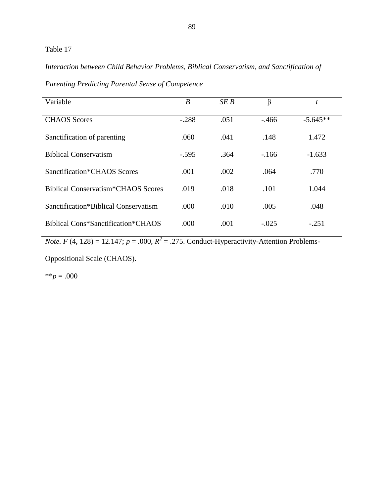## *Interaction between Child Behavior Problems, Biblical Conservatism, and Sanctification of*

| Variable                                  | $\boldsymbol{B}$ | SEB  | β        | t          |
|-------------------------------------------|------------------|------|----------|------------|
| <b>CHAOS</b> Scores                       | $-.288$          | .051 | $-0.466$ | $-5.645**$ |
| Sanctification of parenting               | .060             | .041 | .148     | 1.472      |
| <b>Biblical Conservatism</b>              | $-.595$          | .364 | $-166$   | $-1.633$   |
| Sanctification*CHAOS Scores               | .001             | .002 | .064     | .770       |
| <b>Biblical Conservatism*CHAOS Scores</b> | .019             | .018 | .101     | 1.044      |
| Sanctification*Biblical Conservatism      | .000             | .010 | .005     | .048       |
| Biblical Cons*Sanctification*CHAOS        | .000             | .001 | $-.025$  | $-.251$    |

*Parenting Predicting Parental Sense of Competence*

*Note.*  $F(4, 128) = 12.147$ ;  $p = .000$ ,  $R^2 = .275$ . Conduct-Hyperactivity-Attention Problems-

Oppositional Scale (CHAOS).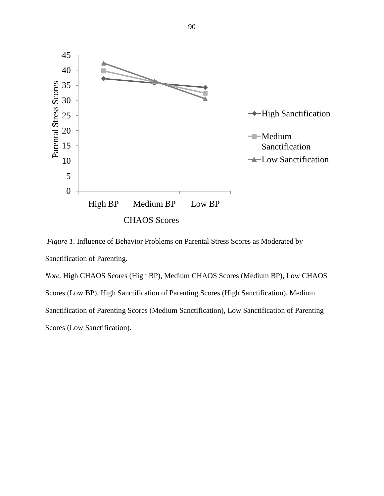

*Figure 1*. Influence of Behavior Problems on Parental Stress Scores as Moderated by Sanctification of Parenting.

*Note.* High CHAOS Scores (High BP), Medium CHAOS Scores (Medium BP), Low CHAOS Scores (Low BP). High Sanctification of Parenting Scores (High Sanctification), Medium Sanctification of Parenting Scores (Medium Sanctification), Low Sanctification of Parenting Scores (Low Sanctification).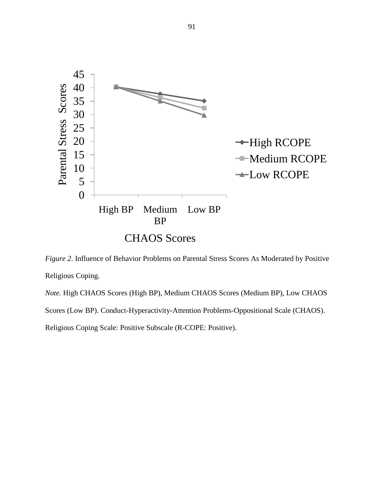

*Figure 2.* Influence of Behavior Problems on Parental Stress Scores As Moderated by Positive Religious Coping.

*Note.* High CHAOS Scores (High BP), Medium CHAOS Scores (Medium BP), Low CHAOS Scores (Low BP). Conduct-Hyperactivity-Attention Problems-Oppositional Scale (CHAOS).

Religious Coping Scale: Positive Subscale (R-COPE: Positive).